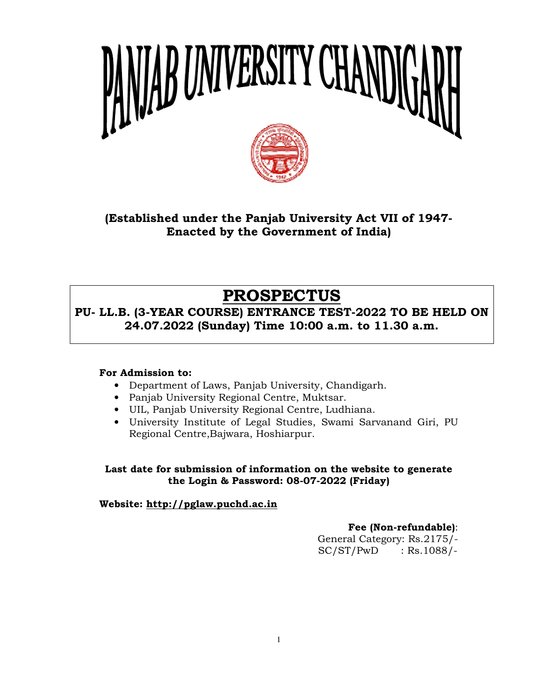

(Established under the Panjab University Act VII of 1947-Enacted by the Government of India)

# PROSPECTUS

PU- LL.B. (3-YEAR COURSE) ENTRANCE TEST-2022 TO BE HELD ON 24.07.2022 (Sunday) Time 10:00 a.m. to 11.30 a.m.

## For Admission to:

- Department of Laws, Panjab University, Chandigarh.
- Panjab University Regional Centre, Muktsar.
- UIL, Panjab University Regional Centre, Ludhiana.
- University Institute of Legal Studies, Swami Sarvanand Giri, PU University Regional Centre,Bajwara, Hoshiarpur. aws, Panjab University,<br>y Regional Centre, Mukt<br>versity Regional Centre,<br>ute of Legal Studies, S<br>Bajwara, Hoshiarpur.

Last date for submission of information on the website to generate<br>the Login & Password: 08-07-2022 (Friday)<br>Vebsite: <u>http://pglaw.puchd.ac.in</u><br>Fee (Non-refundable): e for submission of information on the website<br>the Login & Password: 08-07-2022 (Friday)

Website: <u>http://pglaw.puchd.ac.in</u>

## Fee (Non-refundable)

General Category: Rs.21 Rs.2175/-  $SC/ST/PwD$  : Rs.1088/-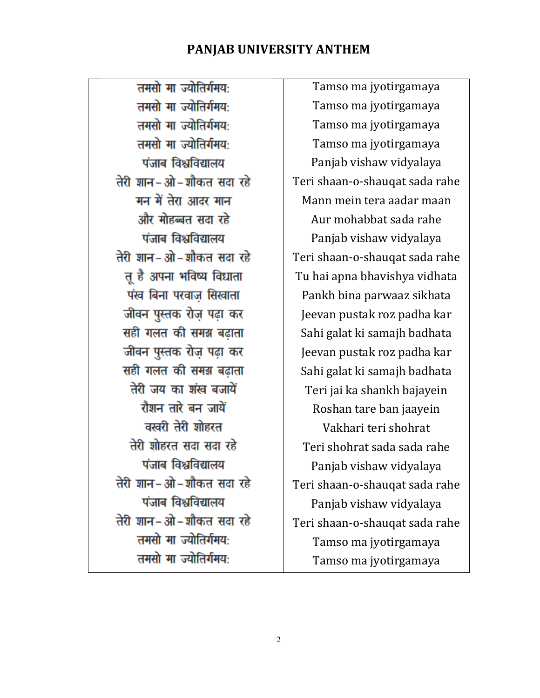## PANJAB UNIVERSITY ANTHEM

तमसो मा ज्योतिर्गमय: तमसो मा ज्योतिर्गमय: तमसो मा ज्योतिर्गमय: तमसो मा ज्योतिर्गमय: पंजाब विश्वविद्यालय तेरी ज्ञान-ओ-जौकत सटा रहे मन में तेरा आदर मान और मोहब्बत सदा रहे पंजाब विश्वविद्यालय तेरी शान-ओ-शौकत सदा रहे तू है अपना भविष्य विधाता पंख बिना परवाज सिखाता जीवन पुस्तक रोज पढा कर सही गलत की समझ बढाता जीवन पुस्तक रोज़ पढ़ा कर सही गलत की समझ बढ़ाता तेरी जय का शंख बजायें रौशन तारे बन जायें वरवरी तेरी शोहरत तेरी शोहरत सदा सदा रहे पंजाब विश्वविद्यालय तेरी शान-ओ-शौकत सदा रहे पंजाब विश्वविद्यालय तेरी शान-ओ-शौकत सदा रहे तमसो मा ज्योतिर्गमय: तमसो मा ज्योतिर्गमय:

Tamso ma jyotirgamaya Tamso ma jyotirgamaya Tamso ma jyotirgamaya Tamso ma jyotirgamaya Panjab vishaw vidyalaya Teri shaan-o-shauqat sada rahe Mann mein tera aadar maan Aur mohabbat sada rahe Panjab vishaw vidyalaya Teri shaan-o-shauqat sada rahe Tu hai apna bhavishya vidhata Pankh bina parwaaz sikhata Jeevan pustak roz padha kar Sahi galat ki samajh badhata Jeevan pustak roz padha kar Sahi galat ki samajh badhata Teri jai ka shankh bajayein Roshan tare ban jaayein Vakhari teri shohrat Teri shohrat sada sada rahe Panjab vishaw vidyalaya Teri shaan-o-shauqat sada rahe Panjab vishaw vidyalaya Teri shaan-o-shauqat sada rahe Tamso ma jyotirgamaya Tamso ma jyotirgamaya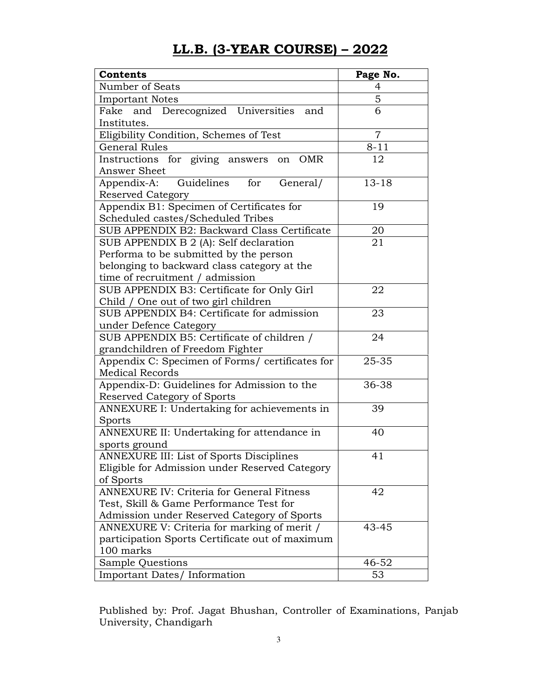## LL.B. (3-YEAR COURSE) – 2022

| Contents                                                                               | Page No.       |
|----------------------------------------------------------------------------------------|----------------|
| Number of Seats                                                                        | 4              |
| <b>Important Notes</b>                                                                 | 5              |
| Derecognized Universities and<br>Fake<br>and                                           | 6              |
| Institutes.                                                                            |                |
| Eligibility Condition, Schemes of Test                                                 | $\overline{7}$ |
| <b>General Rules</b>                                                                   | $8 - 11$       |
| Instructions for giving answers<br><b>OMR</b><br>on                                    | 12             |
| Answer Sheet                                                                           |                |
| Appendix-A: Guidelines<br>for<br>General/<br>Reserved Category                         | $13 - 18$      |
| Appendix B1: Specimen of Certificates for                                              | 19             |
| Scheduled castes/Scheduled Tribes                                                      |                |
| SUB APPENDIX B2: Backward Class Certificate                                            | 20             |
| SUB APPENDIX B 2 (A): Self declaration                                                 | 21             |
| Performa to be submitted by the person                                                 |                |
| belonging to backward class category at the                                            |                |
| time of recruitment / admission                                                        |                |
| SUB APPENDIX B3: Certificate for Only Girl                                             | 22             |
| Child / One out of two girl children                                                   |                |
| SUB APPENDIX B4: Certificate for admission                                             | 23             |
| under Defence Category                                                                 |                |
| SUB APPENDIX B5: Certificate of children /                                             | 24             |
| grandchildren of Freedom Fighter                                                       |                |
| Appendix C: Specimen of Forms/ certificates for                                        | 25-35          |
| <b>Medical Records</b>                                                                 |                |
| Appendix-D: Guidelines for Admission to the                                            | 36-38          |
| Reserved Category of Sports                                                            |                |
| ANNEXURE I: Undertaking for achievements in                                            | 39             |
| Sports                                                                                 |                |
| ANNEXURE II: Undertaking for attendance in                                             | 40             |
| sports ground                                                                          |                |
| <b>ANNEXURE III: List of Sports Disciplines</b>                                        | 41             |
| Eligible for Admission under Reserved Category                                         |                |
| of Sports<br><b>ANNEXURE IV: Criteria for General Fitness</b>                          | 42             |
|                                                                                        |                |
| Test, Skill & Game Performance Test for<br>Admission under Reserved Category of Sports |                |
| ANNEXURE V: Criteria for marking of merit /                                            | 43-45          |
| participation Sports Certificate out of maximum                                        |                |
| 100 marks                                                                              |                |
| Sample Questions                                                                       | 46-52          |
| Important Dates/ Information                                                           | 53             |

Published by: Prof. Jagat Bhushan, Controller of Examinations, Panjab University, Chandigarh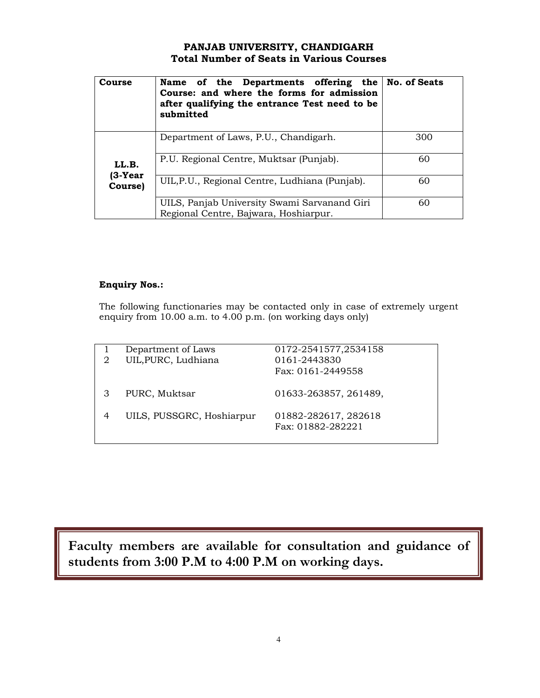## PANJAB UNIVERSITY, CHANDIGARH Total Number of Seats in Various Courses

| Course             | Name of the Departments offering the No. of Seats<br>Course: and where the forms for admission<br>after qualifying the entrance Test need to be<br>submitted |     |
|--------------------|--------------------------------------------------------------------------------------------------------------------------------------------------------------|-----|
|                    | Department of Laws, P.U., Chandigarh.                                                                                                                        | 300 |
| LL.B.              | P.U. Regional Centre, Muktsar (Punjab).                                                                                                                      | 60  |
| (3-Year<br>Course) | UIL, P.U., Regional Centre, Ludhiana (Punjab).                                                                                                               | 60  |
|                    | UILS, Panjab University Swami Sarvanand Giri<br>Regional Centre, Bajwara, Hoshiarpur.                                                                        | 60  |

### Enquiry Nos.:

The following functionaries may be contacted only in case of extremely urgent enquiry from 10.00 a.m. to 4.00 p.m. (on working days only)

| 2 | Department of Laws<br>UIL, PURC, Ludhiana | 0172-2541577,2534158<br>0161-2443830<br>Fax: 0161-2449558 |
|---|-------------------------------------------|-----------------------------------------------------------|
|   | PURC, Muktsar                             | 01633-263857, 261489,                                     |
|   | UILS, PUSSGRC, Hoshiarpur                 | 01882-282617, 282618<br>Fax: 01882-282221                 |
|   |                                           |                                                           |

Faculty members are available for consultation and guidance of students from 3:00 P.M to 4:00 P.M on working days.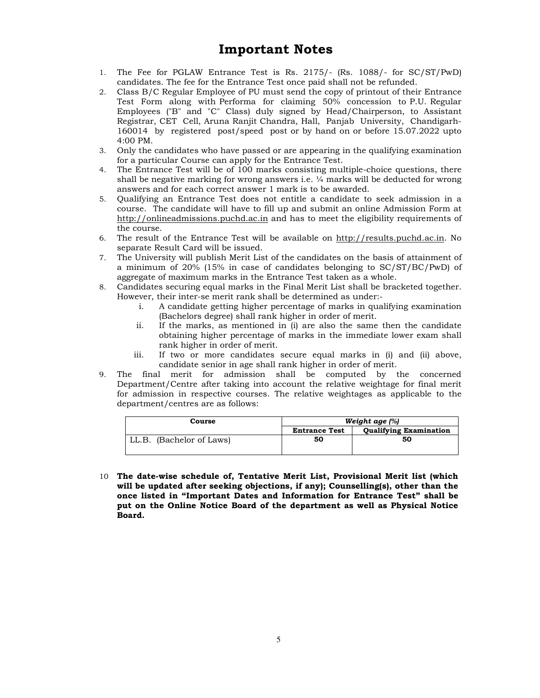## Important Notes

- 1. The Fee for PGLAW Entrance Test is Rs. 2175/- (Rs. 1088/- for SC/ST/PwD) candidates. The fee for the Entrance Test once paid shall not be refunded.
- 2. Class B/C Regular Employee of PU must send the copy of printout of their Entrance Test Form along with Performa for claiming 50% concession to P.U. Regular Employees ("B" and "C" Class) duly signed by Head/Chairperson, to Assistant Registrar, CET Cell, Aruna Ranjit Chandra, Hall, Panjab University, Chandigarh-160014 by registered post/speed post or by hand on or before 15.07.2022 upto 4:00 PM.
- 3. Only the candidates who have passed or are appearing in the qualifying examination for a particular Course can apply for the Entrance Test.
- 4. The Entrance Test will be of 100 marks consisting multiple-choice questions, there shall be negative marking for wrong answers i.e. ¼ marks will be deducted for wrong answers and for each correct answer 1 mark is to be awarded.
- 5. Qualifying an Entrance Test does not entitle a candidate to seek admission in a course. The candidate will have to fill up and submit an online Admission Form at http://onlineadmissions.puchd.ac.in and has to meet the eligibility requirements of the course.
- 6. The result of the Entrance Test will be available on http://results.puchd.ac.in. No separate Result Card will be issued.
- 7. The University will publish Merit List of the candidates on the basis of attainment of a minimum of 20% (15% in case of candidates belonging to SC/ST/BC/PwD) of aggregate of maximum marks in the Entrance Test taken as a whole.
- 8. Candidates securing equal marks in the Final Merit List shall be bracketed together. However, their inter-se merit rank shall be determined as under:
	- i. A candidate getting higher percentage of marks in qualifying examination (Bachelors degree) shall rank higher in order of merit.
	- ii. If the marks, as mentioned in (i) are also the same then the candidate obtaining higher percentage of marks in the immediate lower exam shall rank higher in order of merit.
	- iii. If two or more candidates secure equal marks in (i) and (ii) above, candidate senior in age shall rank higher in order of merit.
- 9. The final merit for admission shall be computed by the concerned Department/Centre after taking into account the relative weightage for final merit for admission in respective courses. The relative weightages as applicable to the department/centres are as follows:

| Course                   | Weight age (%)       |                               |  |  |
|--------------------------|----------------------|-------------------------------|--|--|
|                          | <b>Entrance Test</b> | <b>Qualifying Examination</b> |  |  |
| LL.B. (Bachelor of Laws) | 50                   | 50                            |  |  |

10 The date-wise schedule of, Tentative Merit List, Provisional Merit list (which will be updated after seeking objections, if any); Counselling(s), other than the once listed in "Important Dates and Information for Entrance Test" shall be put on the Online Notice Board of the department as well as Physical Notice Board.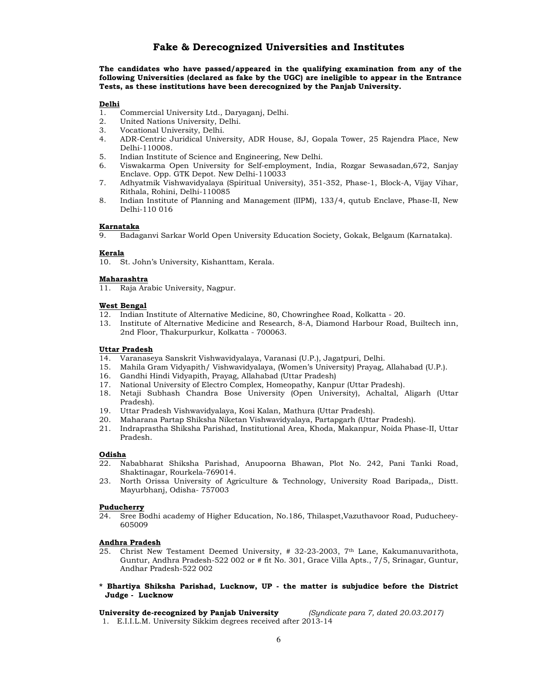## Fake & Derecognized Universities and Institutes

The candidates who have passed/appeared in the qualifying examination from any of the following Universities (declared as fake by the UGC) are ineligible to appear in the Entrance Tests, as these institutions have been derecognized by the Panjab University.

- Delhi<br>1. 1. Commercial University Ltd., Daryaganj, Delhi.<br>2. United Nations University. Delhi.
- United Nations University, Delhi.
- 3. Vocational University, Delhi.
- 4. ADR-Centric Juridical University, ADR House, 8J, Gopala Tower, 25 Rajendra Place, New Delhi-110008.
- 5. Indian Institute of Science and Engineering, New Delhi.
- 6. Viswakarma Open University for Self-employment, India, Rozgar Sewasadan,672, Sanjay Enclave. Opp. GTK Depot. New Delhi-110033
- 7. Adhyatmik Vishwavidyalaya (Spiritual University), 351-352, Phase-1, Block-A, Vijay Vihar, Rithala, Rohini, Delhi-110085
- 8. Indian Institute of Planning and Management (IIPM), 133/4, qutub Enclave, Phase-II, New Delhi-110 016

### Karnataka

9. Badaganvi Sarkar World Open University Education Society, Gokak, Belgaum (Karnataka).

### Kerala

10. St. John's University, Kishanttam, Kerala.

### **Maharashtra**

11. Raja Arabic University, Nagpur.

### West Bengal

- 12. Indian Institute of Alternative Medicine, 80, Chowringhee Road, Kolkatta 20.
- 13. Institute of Alternative Medicine and Research, 8-A, Diamond Harbour Road, Builtech inn, 2nd Floor, Thakurpurkur, Kolkatta - 700063.

### Uttar Pradesh

- 14. Varanaseya Sanskrit Vishwavidyalaya, Varanasi (U.P.), Jagatpuri, Delhi.
- 15. Mahila Gram Vidyapith/ Vishwavidyalaya, (Women's University) Prayag, Allahabad (U.P.).
- 16. Gandhi Hindi Vidyapith, Prayag, Allahabad (Uttar Pradesh)
- 17. National University of Electro Complex, Homeopathy, Kanpur (Uttar Pradesh).
- 18. Netaji Subhash Chandra Bose University (Open University), Achaltal, Aligarh (Uttar Pradesh).
- 19. Uttar Pradesh Vishwavidyalaya, Kosi Kalan, Mathura (Uttar Pradesh).
- 20. Maharana Partap Shiksha Niketan Vishwavidyalaya, Partapgarh (Uttar Pradesh).
- 21. Indraprastha Shiksha Parishad, Institutional Area, Khoda, Makanpur, Noida Phase-II, Uttar Pradesh.

### Odisha

- 22. Nababharat Shiksha Parishad, Anupoorna Bhawan, Plot No. 242, Pani Tanki Road, Shaktinagar, Rourkela-769014.
- 23. North Orissa University of Agriculture & Technology, University Road Baripada,, Distt. Mayurbhanj, Odisha- 757003

#### Puducherry

24. Sree Bodhi academy of Higher Education, No.186, Thilaspet,Vazuthavoor Road, Puducheey-605009

### Andhra Pradesh

- 25. Christ New Testament Deemed University, # 32-23-2003, 7th Lane, Kakumanuvarithota, Guntur, Andhra Pradesh-522 002 or # fit No. 301, Grace Villa Apts., 7/5, Srinagar, Guntur, Andhar Pradesh-522 002
- \* Bhartiya Shiksha Parishad, Lucknow, UP the matter is subjudice before the District Judge - Lucknow

University de-recognized by Panjab University (Syndicate para 7, dated 20.03.2017) 1. E.I.I.L.M. University Sikkim degrees received after 2013-14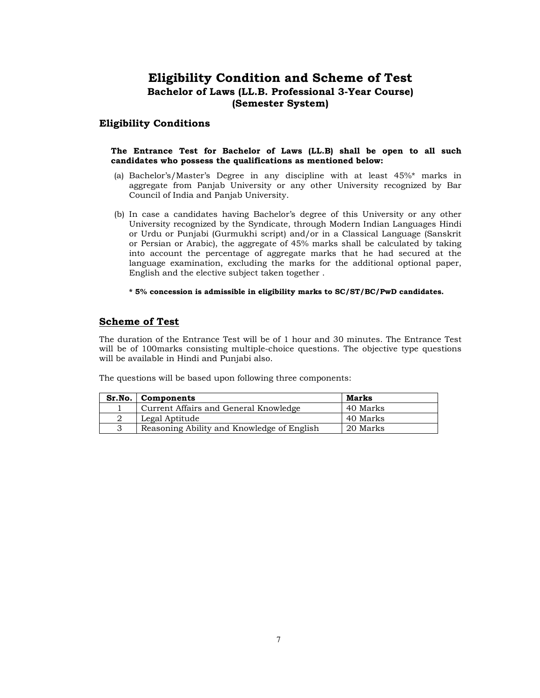## Eligibility Condition and Scheme of Test Bachelor of Laws (LL.B. Professional 3-Year Course) (Semester System)

## Eligibility Conditions

### The Entrance Test for Bachelor of Laws (LL.B) shall be open to all such candidates who possess the qualifications as mentioned below:

- (a) Bachelor's/Master's Degree in any discipline with at least 45%\* marks in aggregate from Panjab University or any other University recognized by Bar Council of India and Panjab University.
- (b) In case a candidates having Bachelor's degree of this University or any other University recognized by the Syndicate, through Modern Indian Languages Hindi or Urdu or Punjabi (Gurmukhi script) and/or in a Classical Language (Sanskrit or Persian or Arabic), the aggregate of 45% marks shall be calculated by taking into account the percentage of aggregate marks that he had secured at the language examination, excluding the marks for the additional optional paper, English and the elective subject taken together .

### \* 5% concession is admissible in eligibility marks to SC/ST/BC/PwD candidates.

### Scheme of Test

The duration of the Entrance Test will be of 1 hour and 30 minutes. The Entrance Test will be of 100marks consisting multiple-choice questions. The objective type questions will be available in Hindi and Punjabi also.

The questions will be based upon following three components:

| Sr.No. | Components                                 | Marks    |
|--------|--------------------------------------------|----------|
|        | Current Affairs and General Knowledge      | 40 Marks |
|        | Legal Aptitude                             | 40 Marks |
|        | Reasoning Ability and Knowledge of English | 20 Marks |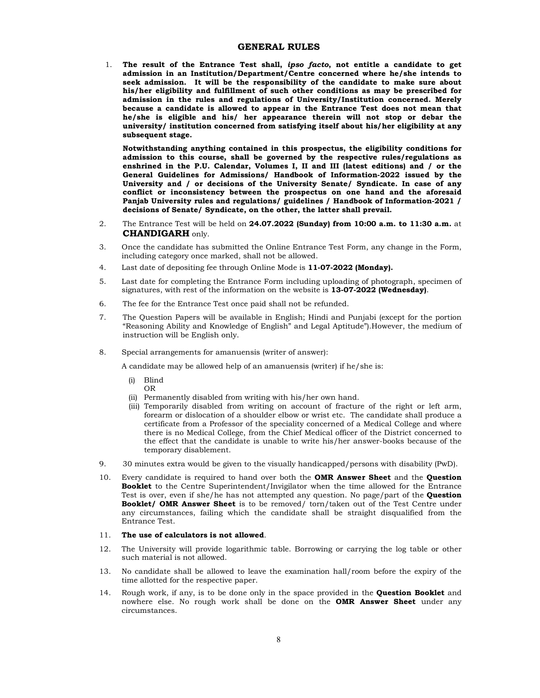### GENERAL RULES

1. The result of the Entrance Test shall, ipso facto, not entitle a candidate to get admission in an Institution/Department/Centre concerned where he/she intends to seek admission. It will be the responsibility of the candidate to make sure about his/her eligibility and fulfillment of such other conditions as may be prescribed for admission in the rules and regulations of University/Institution concerned. Merely because a candidate is allowed to appear in the Entrance Test does not mean that he/she is eligible and his/ her appearance therein will not stop or debar the university/ institution concerned from satisfying itself about his/her eligibility at any subsequent stage.

Notwithstanding anything contained in this prospectus, the eligibility conditions for admission to this course, shall be governed by the respective rules/regulations as enshrined in the P.U. Calendar, Volumes I, II and III (latest editions) and / or the General Guidelines for Admissions/ Handbook of Information-2022 issued by the University and / or decisions of the University Senate/ Syndicate. In case of any conflict or inconsistency between the prospectus on one hand and the aforesaid Panjab University rules and regulations/ guidelines / Handbook of Information-2021 / decisions of Senate/ Syndicate, on the other, the latter shall prevail.

- 2. The Entrance Test will be held on 24.07.2022 (Sunday) from 10:00 a.m. to 11:30 a.m. at CHANDIGARH only.
- 3. Once the candidate has submitted the Online Entrance Test Form, any change in the Form, including category once marked, shall not be allowed.
- 4. Last date of depositing fee through Online Mode is 11-07-2022 (Monday).
- 5. Last date for completing the Entrance Form including uploading of photograph, specimen of signatures, with rest of the information on the website is 13-07-2022 (Wednesday).
- 6. The fee for the Entrance Test once paid shall not be refunded.
- 7. The Question Papers will be available in English; Hindi and Punjabi (except for the portion "Reasoning Ability and Knowledge of English" and Legal Aptitude").However, the medium of instruction will be English only.
- 8. Special arrangements for amanuensis (writer of answer):

A candidate may be allowed help of an amanuensis (writer) if he/she is:

- (i) Blind OR
- (ii) Permanently disabled from writing with his/her own hand.
- (iii) Temporarily disabled from writing on account of fracture of the right or left arm, forearm or dislocation of a shoulder elbow or wrist etc. The candidate shall produce a certificate from a Professor of the speciality concerned of a Medical College and where there is no Medical College, from the Chief Medical officer of the District concerned to the effect that the candidate is unable to write his/her answer-books because of the temporary disablement.
- 9. 30 minutes extra would be given to the visually handicapped/persons with disability (PwD).
- 10. Every candidate is required to hand over both the OMR Answer Sheet and the Ouestion Booklet to the Centre Superintendent/Invigilator when the time allowed for the Entrance Test is over, even if she/he has not attempted any question. No page/part of the **Question** Booklet/ OMR Answer Sheet is to be removed/ torn/taken out of the Test Centre under any circumstances, failing which the candidate shall be straight disqualified from the Entrance Test.

### 11. The use of calculators is not allowed.

- 12. The University will provide logarithmic table. Borrowing or carrying the log table or other such material is not allowed.
- 13. No candidate shall be allowed to leave the examination hall/room before the expiry of the time allotted for the respective paper.
- 14. Rough work, if any, is to be done only in the space provided in the **Question Booklet** and nowhere else. No rough work shall be done on the OMR Answer Sheet under any circumstances.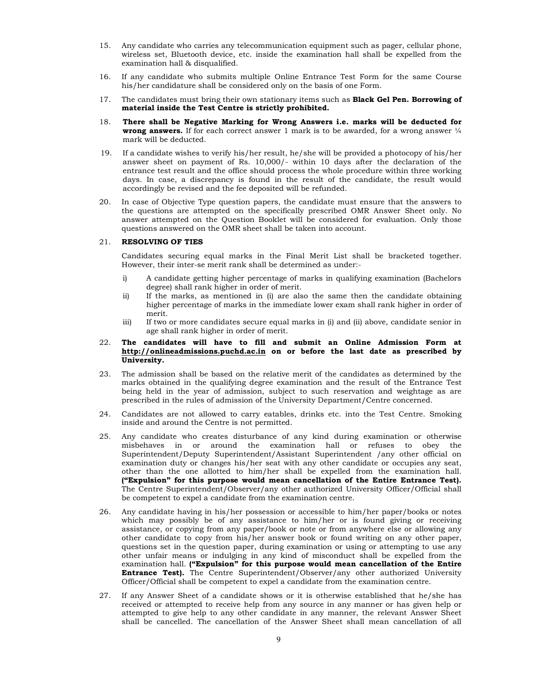- 15. Any candidate who carries any telecommunication equipment such as pager, cellular phone, wireless set, Bluetooth device, etc. inside the examination hall shall be expelled from the examination hall & disqualified.
- 16. If any candidate who submits multiple Online Entrance Test Form for the same Course his/her candidature shall be considered only on the basis of one Form.
- 17. The candidates must bring their own stationary items such as **Black Gel Pen. Borrowing of** material inside the Test Centre is strictly prohibited.
- 18. There shall be Negative Marking for Wrong Answers i.e. marks will be deducted for **wrong answers.** If for each correct answer 1 mark is to be awarded, for a wrong answer  $\frac{1}{4}$ mark will be deducted.
- 19. If a candidate wishes to verify his/her result, he/she will be provided a photocopy of his/her answer sheet on payment of Rs. 10,000/- within 10 days after the declaration of the entrance test result and the office should process the whole procedure within three working days. In case, a discrepancy is found in the result of the candidate, the result would accordingly be revised and the fee deposited will be refunded.
- 20. In case of Objective Type question papers, the candidate must ensure that the answers to the questions are attempted on the specifically prescribed OMR Answer Sheet only. No answer attempted on the Question Booklet will be considered for evaluation. Only those questions answered on the OMR sheet shall be taken into account.

### 21. RESOLVING OF TIES

 Candidates securing equal marks in the Final Merit List shall be bracketed together. However, their inter-se merit rank shall be determined as under:-

- i) A candidate getting higher percentage of marks in qualifying examination (Bachelors degree) shall rank higher in order of merit.
- ii) If the marks, as mentioned in (i) are also the same then the candidate obtaining higher percentage of marks in the immediate lower exam shall rank higher in order of merit.
- iii) If two or more candidates secure equal marks in (i) and (ii) above, candidate senior in age shall rank higher in order of merit.

### 22. The candidates will have to fill and submit an Online Admission Form at http://onlineadmissions.puchd.ac.in on or before the last date as prescribed by University.

- 23. The admission shall be based on the relative merit of the candidates as determined by the marks obtained in the qualifying degree examination and the result of the Entrance Test being held in the year of admission, subject to such reservation and weightage as are prescribed in the rules of admission of the University Department/Centre concerned.
- 24. Candidates are not allowed to carry eatables, drinks etc. into the Test Centre. Smoking inside and around the Centre is not permitted.
- 25. Any candidate who creates disturbance of any kind during examination or otherwise misbehaves in or around the examination hall or refuses to obey the Superintendent/Deputy Superintendent/Assistant Superintendent /any other official on examination duty or changes his/her seat with any other candidate or occupies any seat, other than the one allotted to him/her shall be expelled from the examination hall. ("Expulsion" for this purpose would mean cancellation of the Entire Entrance Test). The Centre Superintendent/Observer/any other authorized University Officer/Official shall be competent to expel a candidate from the examination centre.
- 26. Any candidate having in his/her possession or accessible to him/her paper/books or notes which may possibly be of any assistance to him/her or is found giving or receiving assistance, or copying from any paper/book or note or from anywhere else or allowing any other candidate to copy from his/her answer book or found writing on any other paper, questions set in the question paper, during examination or using or attempting to use any other unfair means or indulging in any kind of misconduct shall be expelled from the examination hall. ("Expulsion" for this purpose would mean cancellation of the Entire Entrance Test). The Centre Superintendent/Observer/any other authorized University Officer/Official shall be competent to expel a candidate from the examination centre.
- 27. If any Answer Sheet of a candidate shows or it is otherwise established that he/she has received or attempted to receive help from any source in any manner or has given help or attempted to give help to any other candidate in any manner, the relevant Answer Sheet shall be cancelled. The cancellation of the Answer Sheet shall mean cancellation of all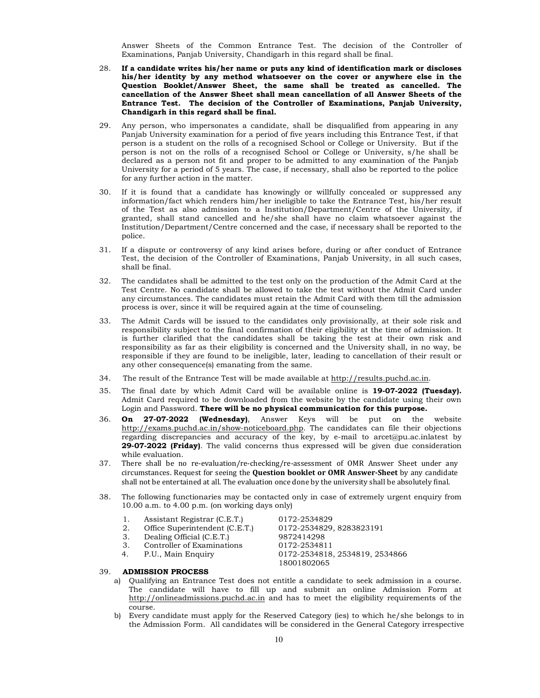Answer Sheets of the Common Entrance Test. The decision of the Controller of Examinations, Panjab University, Chandigarh in this regard shall be final.

- 28. If a candidate writes his/her name or puts any kind of identification mark or discloses his/her identity by any method whatsoever on the cover or anywhere else in the Question Booklet/Answer Sheet, the same shall be treated as cancelled. The cancellation of the Answer Sheet shall mean cancellation of all Answer Sheets of the Entrance Test. The decision of the Controller of Examinations, Panjab University, Chandigarh in this regard shall be final.
- 29. Any person, who impersonates a candidate, shall be disqualified from appearing in any Panjab University examination for a period of five years including this Entrance Test, if that person is a student on the rolls of a recognised School or College or University. But if the person is not on the rolls of a recognised School or College or University, s/he shall be declared as a person not fit and proper to be admitted to any examination of the Panjab University for a period of 5 years. The case, if necessary, shall also be reported to the police for any further action in the matter.
- 30. If it is found that a candidate has knowingly or willfully concealed or suppressed any information/fact which renders him/her ineligible to take the Entrance Test, his/her result of the Test as also admission to a Institution/Department/Centre of the University, if granted, shall stand cancelled and he/she shall have no claim whatsoever against the Institution/Department/Centre concerned and the case, if necessary shall be reported to the police.
- 31. If a dispute or controversy of any kind arises before, during or after conduct of Entrance Test, the decision of the Controller of Examinations, Panjab University, in all such cases, shall be final.
- 32. The candidates shall be admitted to the test only on the production of the Admit Card at the Test Centre. No candidate shall be allowed to take the test without the Admit Card under any circumstances. The candidates must retain the Admit Card with them till the admission process is over, since it will be required again at the time of counseling.
- 33. The Admit Cards will be issued to the candidates only provisionally, at their sole risk and responsibility subject to the final confirmation of their eligibility at the time of admission. It is further clarified that the candidates shall be taking the test at their own risk and responsibility as far as their eligibility is concerned and the University shall, in no way, be responsible if they are found to be ineligible, later, leading to cancellation of their result or any other consequence(s) emanating from the same.
- 34. The result of the Entrance Test will be made available at http://results.puchd.ac.in.
- 35. The final date by which Admit Card will be available online is 19-07-2022 (Tuesday). Admit Card required to be downloaded from the website by the candidate using their own Login and Password. There will be no physical communication for this purpose.
- 36. On 27-07-2022 (Wednesday), Answer Keys will be put on the website http://exams.puchd.ac.in/show-noticeboard.php. The candidates can file their objections regarding discrepancies and accuracy of the key, by e-mail to arcet@pu.ac.inlatest by 29-07-2022 (Friday). The valid concerns thus expressed will be given due consideration while evaluation.
- 37. There shall be no re-evaluation/re-checking/re-assessment of OMR Answer Sheet under any circumstances. Request for seeing the Question booklet or OMR Answer-Sheet by any candidate shall not be entertained at all. The evaluation once done by the university shall be absolutely final.
- 38. The following functionaries may be contacted only in case of extremely urgent enquiry from 10.00 a.m. to 4.00 p.m. (on working days only)
	-
	- 1. Assistant Registrar (C.E.T.) 0172-2534829<br>2. Office Superintendent (C.E.T.) 0172-2534829, 8283823191 2. Office Superintendent (C.E.T.)
	- 3. Dealing Official (C.E.T.) 9872414298<br>3. Controller of Examinations 0172-2534811
	- 3. Controller of Examinations<br>4. P.U., Main Enquiry
	-

39. ADMISSION PROCESS

a) Qualifying an Entrance Test does not entitle a candidate to seek admission in a course. The candidate will have to fill up and submit an online Admission Form at http://onlineadmissions.puchd.ac.in and has to meet the eligibility requirements of the course.

18001802065

0172-2534818, 2534819, 2534866

b) Every candidate must apply for the Reserved Category (ies) to which he/she belongs to in the Admission Form. All candidates will be considered in the General Category irrespective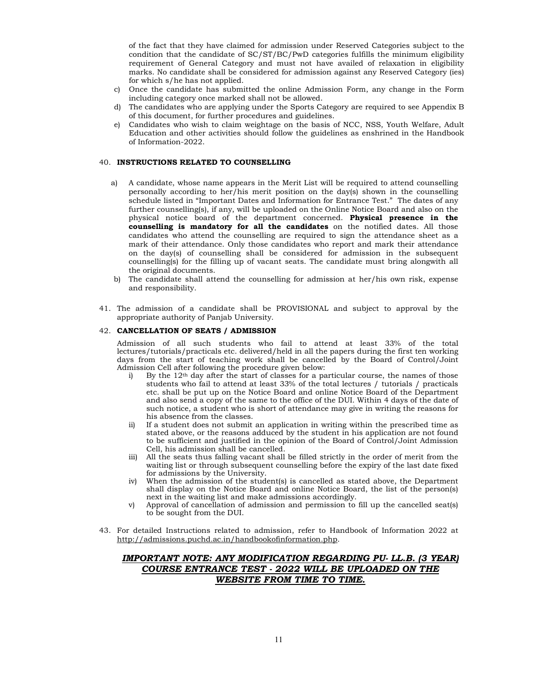of the fact that they have claimed for admission under Reserved Categories subject to the condition that the candidate of SC/ST/BC/PwD categories fulfills the minimum eligibility requirement of General Category and must not have availed of relaxation in eligibility marks. No candidate shall be considered for admission against any Reserved Category (ies) for which s/he has not applied.

- c) Once the candidate has submitted the online Admission Form, any change in the Form including category once marked shall not be allowed.
- d) The candidates who are applying under the Sports Category are required to see Appendix B of this document, for further procedures and guidelines.
- e) Candidates who wish to claim weightage on the basis of NCC, NSS, Youth Welfare, Adult Education and other activities should follow the guidelines as enshrined in the Handbook of Information-2022.

### 40. INSTRUCTIONS RELATED TO COUNSELLING

- a) A candidate, whose name appears in the Merit List will be required to attend counselling personally according to her/his merit position on the day(s) shown in the counselling schedule listed in "Important Dates and Information for Entrance Test." The dates of any further counselling(s), if any, will be uploaded on the Online Notice Board and also on the physical notice board of the department concerned. Physical presence in the counselling is mandatory for all the candidates on the notified dates. All those candidates who attend the counselling are required to sign the attendance sheet as a mark of their attendance. Only those candidates who report and mark their attendance on the day(s) of counselling shall be considered for admission in the subsequent counselling(s) for the filling up of vacant seats. The candidate must bring alongwith all the original documents.
- b) The candidate shall attend the counselling for admission at her/his own risk, expense and responsibility.
- 41. The admission of a candidate shall be PROVISIONAL and subject to approval by the appropriate authority of Panjab University.

### 42. CANCELLATION OF SEATS / ADMISSION

Admission of all such students who fail to attend at least 33% of the total lectures/tutorials/practicals etc. delivered/held in all the papers during the first ten working days from the start of teaching work shall be cancelled by the Board of Control/Joint Admission Cell after following the procedure given below:

- i) By the  $12<sup>th</sup>$  day after the start of classes for a particular course, the names of those students who fail to attend at least 33% of the total lectures / tutorials / practicals etc. shall be put up on the Notice Board and online Notice Board of the Department and also send a copy of the same to the office of the DUI. Within 4 days of the date of such notice, a student who is short of attendance may give in writing the reasons for his absence from the classes.
- ii) If a student does not submit an application in writing within the prescribed time as stated above, or the reasons adduced by the student in his application are not found to be sufficient and justified in the opinion of the Board of Control/Joint Admission Cell, his admission shall be cancelled.
- iii) All the seats thus falling vacant shall be filled strictly in the order of merit from the waiting list or through subsequent counselling before the expiry of the last date fixed for admissions by the University.
- iv) When the admission of the student(s) is cancelled as stated above, the Department shall display on the Notice Board and online Notice Board, the list of the person(s) next in the waiting list and make admissions accordingly.
- v) Approval of cancellation of admission and permission to fill up the cancelled seat(s) to be sought from the DUI.
- 43. For detailed Instructions related to admission, refer to Handbook of Information 2022 at http://admissions.puchd.ac.in/handbookofinformation.php.

## IMPORTANT NOTE: ANY MODIFICATION REGARDING PU- LL.B. (3 YEAR) COURSE ENTRANCE TEST - 2022 WILL BE UPLOADED ON THE WEBSITE FROM TIME TO TIME.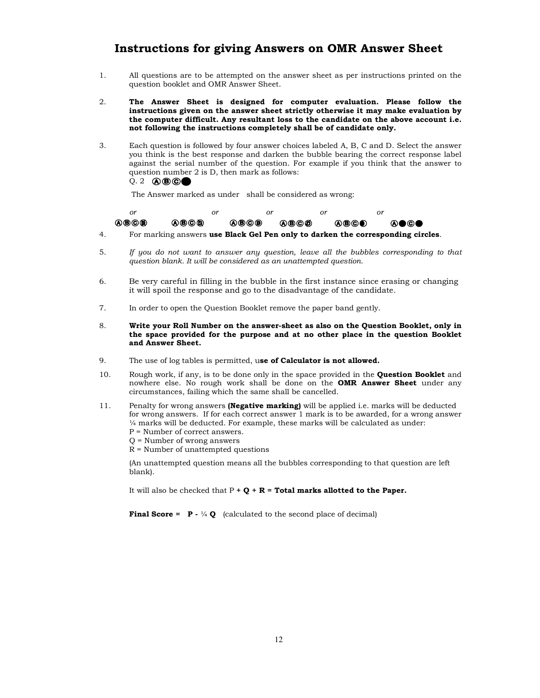## Instructions for giving Answers on OMR Answer Sheet

- 1. All questions are to be attempted on the answer sheet as per instructions printed on the question booklet and OMR Answer Sheet.
- 2. The Answer Sheet is designed for computer evaluation. Please follow the instructions given on the answer sheet strictly otherwise it may make evaluation by the computer difficult. Any resultant loss to the candidate on the above account i.e. not following the instructions completely shall be of candidate only.
- 3. Each question is followed by four answer choices labeled A, B, C and D. Select the answer you think is the best response and darken the bubble bearing the correct response label against the serial number of the question. For example if you think that the answer to question number 2 is D, then mark as follows:  $Q.2$   $\bigcirc$   $\bigcirc$   $\bigcirc$   $\bigcirc$

The Answer marked as under shall be considered as wrong:

| Οĩ   | or                                                                                                             | or             | or |      |
|------|----------------------------------------------------------------------------------------------------------------|----------------|----|------|
| @BC@ | @®©®                                                                                                           | 0000 0000 0000 |    | ⋒●©● |
|      | The contract of the compact of the start of the contract of the declines of the contract of the start of the s |                |    |      |

- 4. For marking answers use Black Gel Pen only to darken the corresponding circles.
- 5. If you do not want to answer any question, leave all the bubbles corresponding to that question blank. It will be considered as an unattempted question.
- 6. Be very careful in filling in the bubble in the first instance since erasing or changing it will spoil the response and go to the disadvantage of the candidate.
- 7. In order to open the Question Booklet remove the paper band gently.
- 8. Write your Roll Number on the answer-sheet as also on the Question Booklet, only in the space provided for the purpose and at no other place in the question Booklet and Answer Sheet.
- 9. The use of log tables is permitted, use of Calculator is not allowed.
- 10. Rough work, if any, is to be done only in the space provided in the **Question Booklet** and nowhere else. No rough work shall be done on the OMR Answer Sheet under any circumstances, failing which the same shall be cancelled.
- 11. Penalty for wrong answers (Negative marking) will be applied i.e. marks will be deducted for wrong answers. If for each correct answer 1 mark is to be awarded, for a wrong answer ¼ marks will be deducted. For example, these marks will be calculated as under: P = Number of correct answers.
	- Q = Number of wrong answers
	- R = Number of unattempted questions

 (An unattempted question means all the bubbles corresponding to that question are left blank).

It will also be checked that  $P + Q + R =$  Total marks allotted to the Paper.

**Final Score = P** -  $\frac{1}{4}Q$  (calculated to the second place of decimal)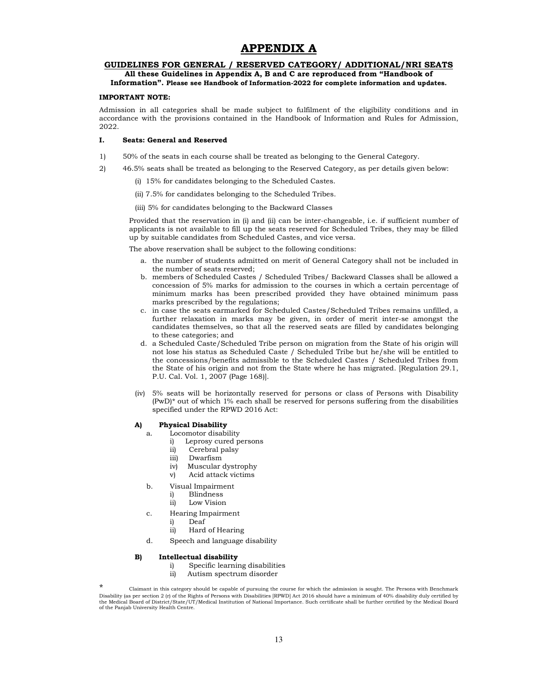## APPENDIX A

### GUIDELINES FOR GENERAL / RESERVED CATEGORY/ ADDITIONAL/NRI SEATS

### All these Guidelines in Appendix A, B and C are reproduced from "Handbook of Information". Please see Handbook of Information-2022 for complete information and updates.

#### IMPORTANT NOTE:

Admission in all categories shall be made subject to fulfilment of the eligibility conditions and in accordance with the provisions contained in the Handbook of Information and Rules for Admission, 2022.

### I. Seats: General and Reserved

- 1) 50% of the seats in each course shall be treated as belonging to the General Category.
- 2) 46.5% seats shall be treated as belonging to the Reserved Category, as per details given below:
	- (i) 15% for candidates belonging to the Scheduled Castes.
	- (ii) 7.5% for candidates belonging to the Scheduled Tribes.
	- (iii) 5% for candidates belonging to the Backward Classes

Provided that the reservation in (i) and (ii) can be inter-changeable, i.e. if sufficient number of applicants is not available to fill up the seats reserved for Scheduled Tribes, they may be filled up by suitable candidates from Scheduled Castes, and vice versa.

The above reservation shall be subject to the following conditions:

- a. the number of students admitted on merit of General Category shall not be included in the number of seats reserved;
- b. members of Scheduled Castes / Scheduled Tribes/ Backward Classes shall be allowed a concession of 5% marks for admission to the courses in which a certain percentage of minimum marks has been prescribed provided they have obtained minimum pass marks prescribed by the regulations;
- c. in case the seats earmarked for Scheduled Castes/Scheduled Tribes remains unfilled, a further relaxation in marks may be given, in order of merit inter-se amongst the candidates themselves, so that all the reserved seats are filled by candidates belonging to these categories; and
- d. a Scheduled Caste/Scheduled Tribe person on migration from the State of his origin will not lose his status as Scheduled Caste / Scheduled Tribe but he/she will be entitled to the concessions/benefits admissible to the Scheduled Castes / Scheduled Tribes from the State of his origin and not from the State where he has migrated. [Regulation 29.1, P.U. Cal. Vol. 1, 2007 (Page 168)].
- (iv) 5% seats will be horizontally reserved for persons or class of Persons with Disability (PwD)\* out of which 1% each shall be reserved for persons suffering from the disabilities specified under the RPWD 2016 Act:

### A) Physical Disability

- a. Locomotor disability
	- i) Leprosy cured persons
	- ii) Cerebral palsy
	- iii) Dwarfism
	- iv) Muscular dystrophy
	- v) Acid attack victims
- b. Visual Impairment
	- i) Blindness<br>ii) Low Vision
	- Low Vision
- c. Hearing Impairment
	- i) Deaf
	- ii) Hard of Hearing
- d. Speech and language disability

#### B) Intellectual disability

- i) Specific learning disabilities
- ii) Autism spectrum disorder

\* Claimant in this category should be capable of pursuing the course for which the admission is sought. The Persons with Benchmark Disability (as per section 2 (r) of the Rights of Persons with Disabilities [RPWD] Act 2016 should have a minimum of 40% disability duly certified by the Medical Board of District/State/UT/Medical Institution of National Importance. Such certificate shall be further certified by the Medical Board of the Panjab University Health Centre.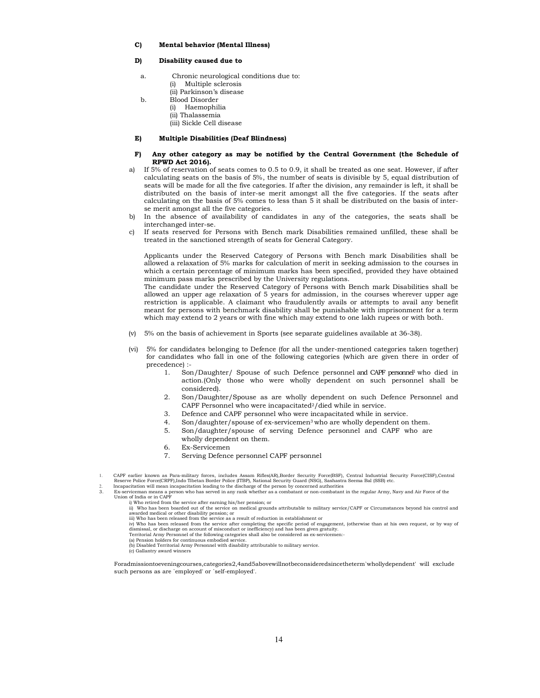#### C) Mental behavior (Mental Illness)

#### D) Disability caused due to

- a. Chronic neurological conditions due to: (i) Multiple sclerosis (ii) Parkinson's disease
- b. Blood Disorder
	- (i) Haemophilia
	- (ii) Thalassemia
	- (iii) Sickle Cell disease

#### E) Multiple Disabilities (Deaf Blindness)

#### F) Any other category as may be notified by the Central Government (the Schedule of RPWD Act 2016).

- If 5% of reservation of seats comes to 0.5 to 0.9, it shall be treated as one seat. However, if after calculating seats on the basis of 5%, the number of seats is divisible by 5, equal distribution of seats will be made for all the five categories. If after the division, any remainder is left, it shall be distributed on the basis of inter-se merit amongst all the five categories. If the seats after calculating on the basis of 5% comes to less than 5 it shall be distributed on the basis of interse merit amongst all the five categories.
- b) In the absence of availability of candidates in any of the categories, the seats shall be interchanged inter-se.
- c) If seats reserved for Persons with Bench mark Disabilities remained unfilled, these shall be treated in the sanctioned strength of seats for General Category.

 Applicants under the Reserved Category of Persons with Bench mark Disabilities shall be allowed a relaxation of 5% marks for calculation of merit in seeking admission to the courses in which a certain percentage of minimum marks has been specified, provided they have obtained minimum pass marks prescribed by the University regulations.

 The candidate under the Reserved Category of Persons with Bench mark Disabilities shall be allowed an upper age relaxation of 5 years for admission, in the courses wherever upper age restriction is applicable. A claimant who fraudulently avails or attempts to avail any benefit meant for persons with benchmark disability shall be punishable with imprisonment for a term which may extend to 2 years or with fine which may extend to one lakh rupees or with both.

- (v) 5% on the basis of achievement in Sports (see separate guidelines available at 36-38).
- (vi) 5% for candidates belonging to Defence (for all the under-mentioned categories taken together) for candidates who fall in one of the following categories (which are given there in order of precedence) :-
	- 1. Son/Daughter/ Spouse of such Defence personnel and CAPF personnel who died in action.(Only those who were wholly dependent on such personnel shall be considered).
	- 2. Son/Daughter/Spouse as are wholly dependent on such Defence Personnel and CAPF Personnel who were incapacitated<sup>2</sup>/died while in service.
	- 3. Defence and CAPF personnel who were incapacitated while in service.
	- 4. Son/daughter/spouse of ex-servicemen<sup>3</sup> who are wholly dependent on them.
	- 5. Son/daughter/spouse of serving Defence personnel and CAPF who are
	- wholly dependent on them.
	- 6. Ex-Servicemen
	- 7. Serving Defence personnel CAPF personnel

Union of India or in CAPF i) Who retired from the service after earning his/her pension; or

ii) Who has been boarded out of the service on medical grounds attributable to military service/CAPF or Circumstances beyond his control and

awarded medical or other disability pension; or<br>iii) Who has been released from the service as a result of reduction in establishment or<br>ii) Who has been released from the service after completing the specific period of en

- (a) Pension holders for continuous embodied service.
- (b) Disabled Territorial Army Personnel with disability attributable to military service.

(c) Gallantry award winners

Foradmissiontoeveningcourses,categories2,4and5abovewillnotbeconsideredsincetheterm`whollydependent' will exclude such persons as are `employed' or `self-employed'.

<sup>1.</sup> CAPF earlier known as Para-military forces, includes Assam Rifles(AR),Border Security Force(BSF), Central Industrial Security Force(CISF),Central

Reserve Police Force(CRPF),Indo Tibetan Border Police (ITBP), National Security Guard (NSG), Sashastra Seema Bal (SSB) etc.<br>Incapacitation will mean incapacitation leading to the discharge of the person by concerned author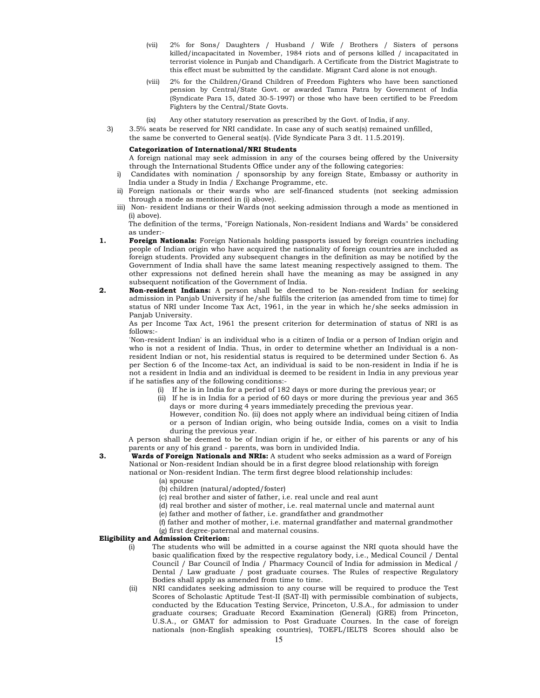- (vii) 2% for Sons/ Daughters / Husband / Wife / Brothers / Sisters of persons killed/incapacitated in November, 1984 riots and of persons killed / incapacitated in terrorist violence in Punjab and Chandigarh. A Certificate from the District Magistrate to this effect must be submitted by the candidate. Migrant Card alone is not enough.
- (viii) 2% for the Children/Grand Children of Freedom Fighters who have been sanctioned pension by Central/State Govt. or awarded Tamra Patra by Government of India (Syndicate Para 15, dated 30-5-1997) or those who have been certified to be Freedom Fighters by the Central/State Govts.
- (ix) Any other statutory reservation as prescribed by the Govt. of India, if any.
- 3) 3.5% seats be reserved for NRI candidate. In case any of such seat(s) remained unfilled, the same be converted to General seat(s). (Vide Syndicate Para 3 dt. 11.5.2019).

### Categorization of International/NRI Students

A foreign national may seek admission in any of the courses being offered by the University through the International Students Office under any of the following categories:

- Candidates with nomination / sponsorship by any foreign State, Embassy or authority in India under a Study in India / Exchange Programme, etc.
- ii) Foreign nationals or their wards who are self-financed students (not seeking admission through a mode as mentioned in (i) above).
- iii) Non- resident Indians or their Wards (not seeking admission through a mode as mentioned in (i) above).

The definition of the terms, "Foreign Nationals, Non-resident Indians and Wards" be considered as under:-

- 1. Foreign Nationals: Foreign Nationals holding passports issued by foreign countries including people of Indian origin who have acquired the nationality of foreign countries are included as foreign students. Provided any subsequent changes in the definition as may be notified by the Government of India shall have the same latest meaning respectively assigned to them. The other expressions not defined herein shall have the meaning as may be assigned in any subsequent notification of the Government of India.
- 2. Non-resident Indians: A person shall be deemed to be Non-resident Indian for seeking admission in Panjab University if he/she fulfils the criterion (as amended from time to time) for status of NRI under Income Tax Act, 1961, in the year in which he/she seeks admission in Panjab University.

As per Income Tax Act, 1961 the present criterion for determination of status of NRI is as follows:-

'Non-resident Indian' is an individual who is a citizen of India or a person of Indian origin and who is not a resident of India. Thus, in order to determine whether an Individual is a nonresident Indian or not, his residential status is required to be determined under Section 6. As per Section 6 of the Income-tax Act, an individual is said to be non-resident in India if he is not a resident in India and an individual is deemed to be resident in India in any previous year if he satisfies any of the following conditions:-

- (i) If he is in India for a period of 182 days or more during the previous year; or
- (ii) If he is in India for a period of 60 days or more during the previous year and 365 days or more during 4 years immediately preceding the previous year.

However, condition No. (ii) does not apply where an individual being citizen of India or a person of Indian origin, who being outside India, comes on a visit to India during the previous year.

A person shall be deemed to be of Indian origin if he, or either of his parents or any of his parents or any of his grand - parents, was born in undivided India.

- **3.** Wards of Foreign Nationals and NRIs: A student who seeks admission as a ward of Foreign National or Non-resident Indian should be in a first degree blood relationship with foreign national or Non-resident Indian. The term first degree blood relationship includes:
	- (a) spouse
	- (b) children (natural/adopted/foster)
	- (c) real brother and sister of father, i.e. real uncle and real aunt
	- (d) real brother and sister of mother, i.e. real maternal uncle and maternal aunt
	- (e) father and mother of father, i.e. grandfather and grandmother
	- (f) father and mother of mother, i.e. maternal grandfather and maternal grandmother (g) first degree-paternal and maternal cousins.

#### Eligibility and Admission Criterion:

- (i) The students who will be admitted in a course against the NRI quota should have the basic qualification fixed by the respective regulatory body, i.e., Medical Council / Dental Council / Bar Council of India / Pharmacy Council of India for admission in Medical / Dental / Law graduate / post graduate courses. The Rules of respective Regulatory Bodies shall apply as amended from time to time.
- (ii) NRI candidates seeking admission to any course will be required to produce the Test Scores of Scholastic Aptitude Test-II (SAT-II) with permissible combination of subjects, conducted by the Education Testing Service, Princeton, U.S.A., for admission to under graduate courses; Graduate Record Examination (General) (GRE) from Princeton, U.S.A., or GMAT for admission to Post Graduate Courses. In the case of foreign nationals (non-English speaking countries), TOEFL/IELTS Scores should also be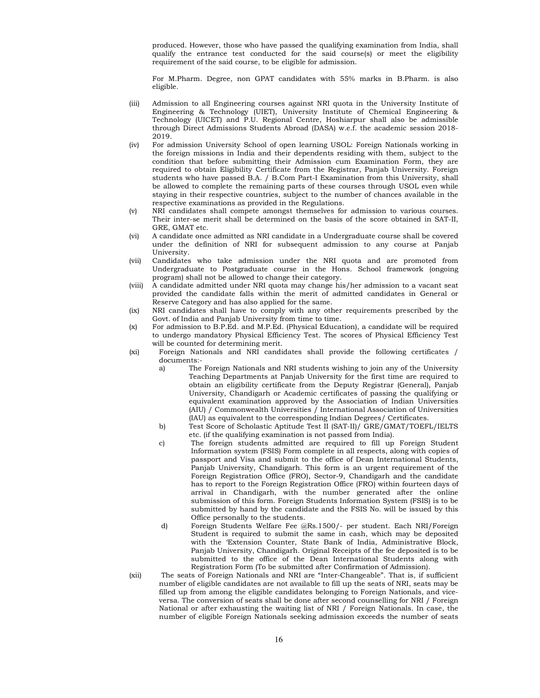produced. However, those who have passed the qualifying examination from India, shall qualify the entrance test conducted for the said course(s) or meet the eligibility requirement of the said course, to be eligible for admission.

For M.Pharm. Degree, non GPAT candidates with 55% marks in B.Pharm. is also eligible.

- (iii) Admission to all Engineering courses against NRI quota in the University Institute of Engineering & Technology (UIET), University Institute of Chemical Engineering & Technology (UICET) and P.U. Regional Centre, Hoshiarpur shall also be admissible through Direct Admissions Students Abroad (DASA) w.e.f. the academic session 2018- 2019.
- (iv) For admission University School of open learning USOL: Foreign Nationals working in the foreign missions in India and their dependents residing with them, subject to the condition that before submitting their Admission cum Examination Form, they are required to obtain Eligibility Certificate from the Registrar, Panjab University. Foreign students who have passed B.A. / B.Com Part-I Examination from this University, shall be allowed to complete the remaining parts of these courses through USOL even while staying in their respective countries, subject to the number of chances available in the respective examinations as provided in the Regulations.
- (v) NRI candidates shall compete amongst themselves for admission to various courses. Their inter-se merit shall be determined on the basis of the score obtained in SAT-II, GRE, GMAT etc.
- (vi) A candidate once admitted as NRI candidate in a Undergraduate course shall be covered under the definition of NRI for subsequent admission to any course at Panjab University.
- (vii) Candidates who take admission under the NRI quota and are promoted from Undergraduate to Postgraduate course in the Hons. School framework (ongoing program) shall not be allowed to change their category.
- (viii) A candidate admitted under NRI quota may change his/her admission to a vacant seat provided the candidate falls within the merit of admitted candidates in General or Reserve Category and has also applied for the same.
- (ix) NRI candidates shall have to comply with any other requirements prescribed by the Govt. of India and Panjab University from time to time.
- (x) For admission to B.P.Ed. and M.P.Ed. (Physical Education), a candidate will be required to undergo mandatory Physical Efficiency Test. The scores of Physical Efficiency Test will be counted for determining merit.
- (xi) Foreign Nationals and NRI candidates shall provide the following certificates / documents:
	- a) The Foreign Nationals and NRI students wishing to join any of the University Teaching Departments at Panjab University for the first time are required to obtain an eligibility certificate from the Deputy Registrar (General), Panjab University, Chandigarh or Academic certificates of passing the qualifying or equivalent examination approved by the Association of Indian Universities (AIU) / Commonwealth Universities / International Association of Universities (IAU) as equivalent to the corresponding Indian Degrees/ Certificates.
	- b) Test Score of Scholastic Aptitude Test II (SAT-II)/ GRE/GMAT/TOEFL/IELTS etc. (if the qualifying examination is not passed from India).
	- c) The foreign students admitted are required to fill up Foreign Student Information system (FSIS) Form complete in all respects, along with copies of passport and Visa and submit to the office of Dean International Students, Panjab University, Chandigarh. This form is an urgent requirement of the Foreign Registration Office (FRO), Sector-9, Chandigarh and the candidate has to report to the Foreign Registration Office (FRO) within fourteen days of arrival in Chandigarh, with the number generated after the online submission of this form. Foreign Students Information System (FSIS) is to be submitted by hand by the candidate and the FSIS No. will be issued by this Office personally to the students.
	- d) Foreign Students Welfare Fee @Rs.1500/- per student. Each NRI/Foreign Student is required to submit the same in cash, which may be deposited with the 'Extension Counter, State Bank of India, Administrative Block, Panjab University, Chandigarh. Original Receipts of the fee deposited is to be submitted to the office of the Dean International Students along with Registration Form (To be submitted after Confirmation of Admission).
- (xii) The seats of Foreign Nationals and NRI are "Inter-Changeable". That is, if sufficient number of eligible candidates are not available to fill up the seats of NRI, seats may be filled up from among the eligible candidates belonging to Foreign Nationals, and viceversa. The conversion of seats shall be done after second counselling for NRI / Foreign National or after exhausting the waiting list of NRI / Foreign Nationals. In case, the number of eligible Foreign Nationals seeking admission exceeds the number of seats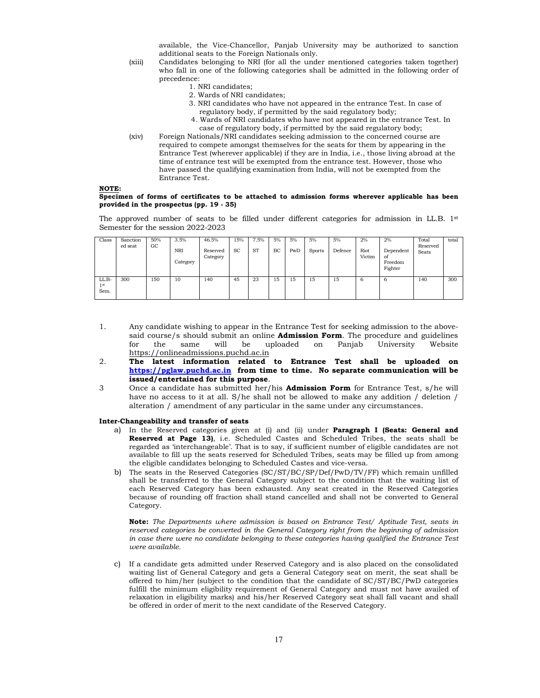available, the Vice-Chancellor, Panjab University may be authorized to sanction additional seats to the Foreign Nationals only.

- (xiii) Candidates belonging to NRI (for all the under mentioned categories taken together) who fall in one of the following categories shall be admitted in the following order of precedence:
	- 1. NRI candidates;
	- 2. Wards of NRI candidates;
	- 3. NRI candidates who have not appeared in the entrance Test. In case of regulatory body, if permitted by the said regulatory body;
	- 4. Wards of NRI candidates who have not appeared in the entrance Test. In case of regulatory body, if permitted by the said regulatory body;
- (xiv) Foreign Nationals/NRI candidates seeking admission to the concerned course are required to compete amongst themselves for the seats for them by appearing in the Entrance Test (wherever applicable) if they are in India, i.e., those living abroad at the time of entrance test will be exempted from the entrance test. However, those who have passed the qualifying examination from India, will not be exempted from the Entrance Test.

### NOTE:

#### Specimen of forms of certificates to be attached to admission forms wherever applicable has been provided in the prospectus (pp. 19 - 35)

The approved number of seats to be filled under different categories for admission in LL.B. 1<sup>st</sup> Semester for the session 2022-2023

| Class                 | Sanction<br>ed seat | 50%<br>GC | 3.5%<br>NRI<br>Category | 46.5%<br>Reserved<br>Category | 15%<br><b>SC</b> | 7.5%<br><b>ST</b> | 5%<br>BC | 5%<br>PwD | 5%<br><b>Sports</b> | 5%<br>Defence | 2%<br>Riot<br>Victim | 2%<br>Dependent<br>of<br>Freedom<br>Fighter | Total<br>Reserved<br>Seats | total |
|-----------------------|---------------------|-----------|-------------------------|-------------------------------|------------------|-------------------|----------|-----------|---------------------|---------------|----------------------|---------------------------------------------|----------------------------|-------|
| LL.B-<br>  st<br>Sem. | 300                 | 150       | 10                      | 140                           | 45               | 23                | 15       | 15        | 15                  | 15            | 6                    | 6                                           | 140                        | 300   |

- 1. Any candidate wishing to appear in the Entrance Test for seeking admission to the abovesaid course/s should submit an online **Admission Form**. The procedure and guidelines<br>for the same will be uploaded on Paniab University Website for the same will be uploaded on Panjab University https://onlineadmissions.puchd.ac.in
- 2. The latest information related to Entrance Test shall be uploaded on https://pglaw.puchd.ac.in from time to time. No separate communication will be issued/entertained for this purpose.
- 3 Once a candidate has submitted her/his Admission Form for Entrance Test, s/he will have no access to it at all. S/he shall not be allowed to make any addition / deletion / alteration / amendment of any particular in the same under any circumstances.

#### Inter-Changeability and transfer of seats

- a) In the Reserved categories given at (i) and (ii) under Paragraph I (Seats: General and Reserved at Page 13), i.e. Scheduled Castes and Scheduled Tribes, the seats shall be regarded as 'interchangeable'. That is to say, if sufficient number of eligible candidates are not available to fill up the seats reserved for Scheduled Tribes, seats may be filled up from among the eligible candidates belonging to Scheduled Castes and vice-versa.
- b) The seats in the Reserved Categories (SC/ST/BC/SP/Def/PwD/TV/FF) which remain unfilled shall be transferred to the General Category subject to the condition that the waiting list of each Reserved Category has been exhausted. Any seat created in the Reserved Categories because of rounding off fraction shall stand cancelled and shall not be converted to General Category.

Note: The Departments where admission is based on Entrance Test/ Aptitude Test, seats in reserved categories be converted in the General Category right from the beginning of admission in case there were no candidate belonging to these categories having qualified the Entrance Test were available.

c) If a candidate gets admitted under Reserved Category and is also placed on the consolidated waiting list of General Category and gets a General Category seat on merit, the seat shall be offered to him/her (subject to the condition that the candidate of SC/ST/BC/PwD categories fulfill the minimum eligibility requirement of General Category and must not have availed of relaxation in eligibility marks) and his/her Reserved Category seat shall fall vacant and shall be offered in order of merit to the next candidate of the Reserved Category.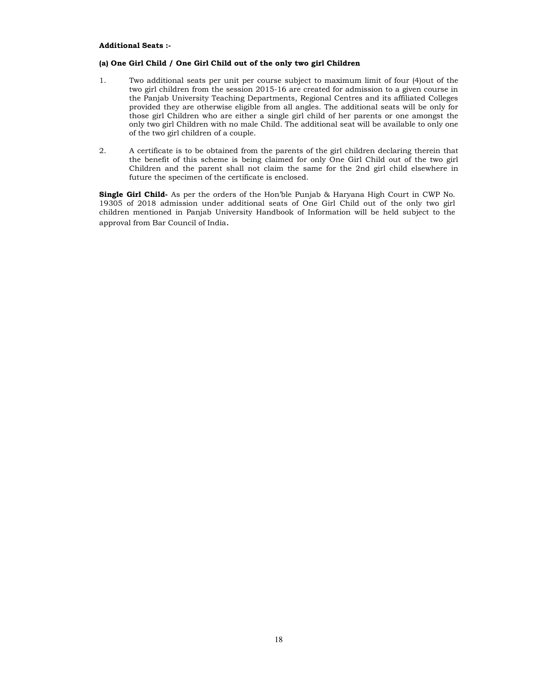#### Additional Seats :-

### (a) One Girl Child / One Girl Child out of the only two girl Children

- 1. Two additional seats per unit per course subject to maximum limit of four (4)out of the two girl children from the session 2015-16 are created for admission to a given course in the Panjab University Teaching Departments, Regional Centres and its affiliated Colleges provided they are otherwise eligible from all angles. The additional seats will be only for those girl Children who are either a single girl child of her parents or one amongst the only two girl Children with no male Child. The additional seat will be available to only one of the two girl children of a couple.
- 2. A certificate is to be obtained from the parents of the girl children declaring therein that the benefit of this scheme is being claimed for only One Girl Child out of the two girl Children and the parent shall not claim the same for the 2nd girl child elsewhere in future the specimen of the certificate is enclosed.

Single Girl Child- As per the orders of the Hon'ble Punjab & Haryana High Court in CWP No. 19305 of 2018 admission under additional seats of One Girl Child out of the only two girl children mentioned in Panjab University Handbook of Information will be held subject to the approval from Bar Council of India.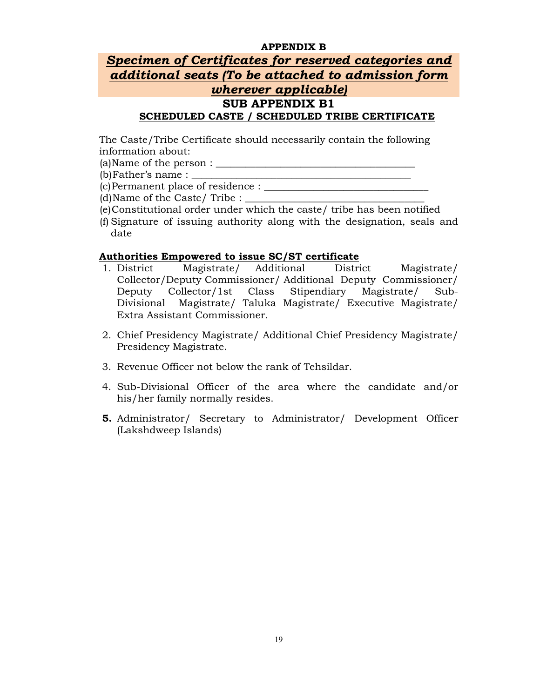## APPENDIX B

## Specimen of Certificates for reserved categories and additional seats (To be attached to admission form wherever applicable) SUB APPENDIX B1 SCHEDULED CASTE / SCHEDULED TRIBE CERTIFICATE

The Caste/Tribe Certificate should necessarily contain the following information about:

(a)Name of the person :  $\frac{1}{2}$ 

(b)Father's name : \_\_\_\_\_\_\_\_\_\_\_\_\_\_\_\_\_\_\_\_\_\_\_\_\_\_\_\_\_\_\_\_\_\_\_\_\_\_\_\_\_\_\_\_

(c)Permanent place of residence : \_\_\_\_\_\_\_\_\_\_\_\_\_\_\_\_\_\_\_\_\_\_\_\_\_\_\_\_\_\_\_\_\_

 $(d)$ Name of the Caste/ Tribe :

- (e)Constitutional order under which the caste/ tribe has been notified
- (f) Signature of issuing authority along with the designation, seals and date

## Authorities Empowered to issue SC/ST certificate

- 1. District Magistrate/ Additional District Magistrate/ Collector/Deputy Commissioner/ Additional Deputy Commissioner/ Deputy Collector/1st Class Stipendiary Magistrate/ Sub-Divisional Magistrate/ Taluka Magistrate/ Executive Magistrate/ Extra Assistant Commissioner.
- 2. Chief Presidency Magistrate/ Additional Chief Presidency Magistrate/ Presidency Magistrate.
- 3. Revenue Officer not below the rank of Tehsildar.
- 4. Sub-Divisional Officer of the area where the candidate and/or his/her family normally resides.
- 5. Administrator/ Secretary to Administrator/ Development Officer (Lakshdweep Islands)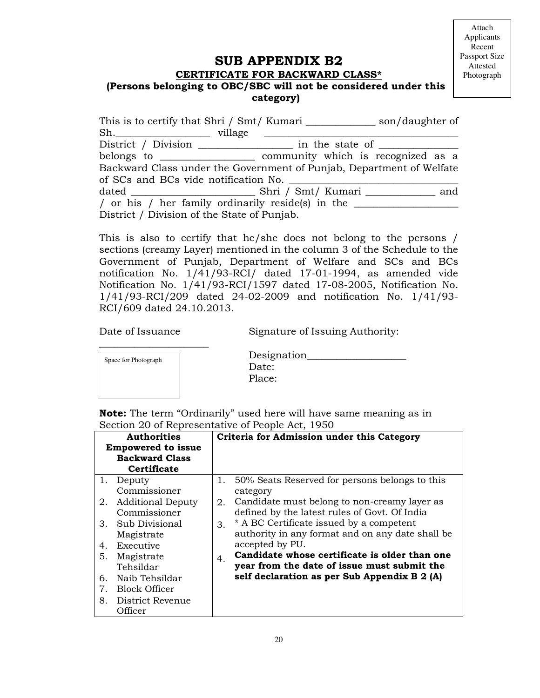## SUB APPENDIX B2

## CERTIFICATE FOR BACKWARD CLASS\* (Persons belonging to OBC/SBC will not be considered under this category)

| This is to certify that Shri / Smt/ Kumari _________________ son/daughter of |  |     |
|------------------------------------------------------------------------------|--|-----|
| Sh.                                                                          |  |     |
|                                                                              |  |     |
|                                                                              |  |     |
| Backward Class under the Government of Punjab, Department of Welfate         |  |     |
| of SCs and BCs vide notification No.                                         |  |     |
|                                                                              |  | and |
| / or his / her family ordinarily reside(s) in the                            |  |     |
| District / Division of the State of Punjab.                                  |  |     |

This is also to certify that he/she does not belong to the persons / sections (creamy Layer) mentioned in the column 3 of the Schedule to the Government of Punjab, Department of Welfare and SCs and BCs notification No. 1/41/93-RCI/ dated 17-01-1994, as amended vide Notification No. 1/41/93-RCI/1597 dated 17-08-2005, Notification No. 1/41/93-RCI/209 dated 24-02-2009 and notification No. 1/41/93- RCI/609 dated 24.10.2013.

 $\frac{1}{2}$  ,  $\frac{1}{2}$  ,  $\frac{1}{2}$  ,  $\frac{1}{2}$  ,  $\frac{1}{2}$  ,  $\frac{1}{2}$  ,  $\frac{1}{2}$  ,  $\frac{1}{2}$  ,  $\frac{1}{2}$  ,  $\frac{1}{2}$  ,  $\frac{1}{2}$  ,  $\frac{1}{2}$  ,  $\frac{1}{2}$  ,  $\frac{1}{2}$  ,  $\frac{1}{2}$  ,  $\frac{1}{2}$  ,  $\frac{1}{2}$  ,  $\frac{1}{2}$  ,  $\frac{1$ 

Date of Issuance Signature of Issuing Authority:

| Space for Photograph | Design |
|----------------------|--------|
|                      | Date:  |
|                      | Place: |
|                      |        |

| Space for Photograph | Designation |
|----------------------|-------------|
|                      | Date:       |
|                      | Place:      |

Note: The term "Ordinarily" used here will have same meaning as in Section 20 of Representative of People Act, 1950

|    | <b>Authorities</b><br><b>Empowered to issue</b><br><b>Backward Class</b><br>Certificate |             | Criteria for Admission under this Category       |
|----|-----------------------------------------------------------------------------------------|-------------|--------------------------------------------------|
|    | 1. Deputy                                                                               | 1.          | 50% Seats Reserved for persons belongs to this   |
|    | Commissioner                                                                            |             | category                                         |
| 2. | <b>Additional Deputy</b>                                                                | 2.          | Candidate must belong to non-creamy layer as     |
|    | Commissioner                                                                            |             | defined by the latest rules of Govt. Of India    |
| 3. | Sub Divisional                                                                          | 3.          | * A BC Certificate issued by a competent         |
|    | Magistrate                                                                              |             | authority in any format and on any date shall be |
| 4. | Executive                                                                               |             | accepted by PU.                                  |
| 5. | Magistrate                                                                              | $4_{\cdot}$ | Candidate whose certificate is older than one    |
|    | Tehsildar                                                                               |             | year from the date of issue must submit the      |
| 6. | Naib Tehsildar                                                                          |             | self declaration as per Sub Appendix B 2 (A)     |
| 7. | <b>Block Officer</b>                                                                    |             |                                                  |
| 8. | District Revenue                                                                        |             |                                                  |
|    | Officer                                                                                 |             |                                                  |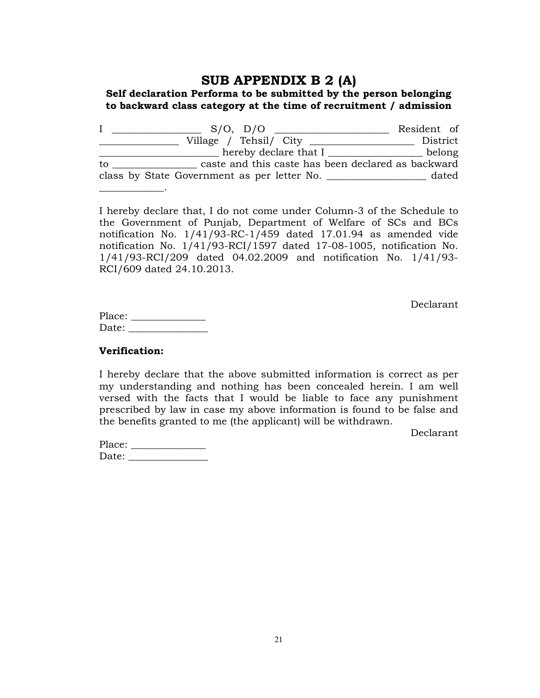## SUB APPENDIX B 2 (A)

## Self declaration Performa to be submitted by the person belonging to backward class category at the time of recruitment / admission

|    | $S/O$ , $D/O$                                               | Resident of |       |
|----|-------------------------------------------------------------|-------------|-------|
|    | Village / Tehsil/ City                                      | District    |       |
|    | hereby declare that I _____________                         | belong      |       |
| to | caste and this caste has been declared as backward          |             |       |
|    | class by State Government as per letter No. _______________ |             | dated |
|    |                                                             |             |       |

I hereby declare that, I do not come under Column-3 of the Schedule to the Government of Punjab, Department of Welfare of SCs and BCs notification No. 1/41/93-RC-1/459 dated 17.01.94 as amended vide notification No. 1/41/93-RCI/1597 dated 17-08-1005, notification No. 1/41/93-RCI/209 dated 04.02.2009 and notification No. 1/41/93- RCI/609 dated 24.10.2013.

Declarant

| Place: |  |
|--------|--|
| Date:  |  |

## Verification:

I hereby declare that the above submitted information is correct as per my understanding and nothing has been concealed herein. I am well versed with the facts that I would be liable to face any punishment prescribed by law in case my above information is found to be false and the benefits granted to me (the applicant) will be withdrawn.

Declarant

| Place: |  |
|--------|--|
| Date:  |  |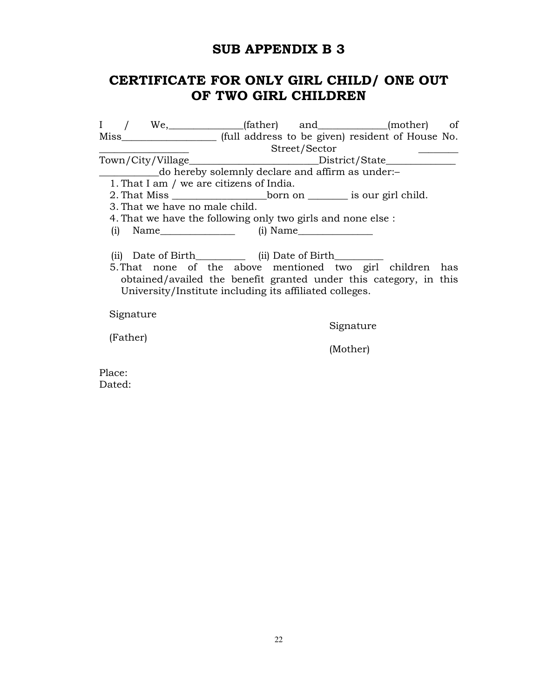## SUB APPENDIX B 3

## CERTIFICATE FOR ONLY GIRL CHILD/ ONE OUT OF TWO GIRL CHILDREN

I / We,\_\_\_\_\_\_\_\_\_\_\_\_\_\_\_(father) and\_\_\_\_\_\_\_\_\_\_\_\_\_\_(mother) of Miss (full address to be given) resident of House No. \_\_\_\_\_\_\_\_\_\_\_\_\_\_\_\_\_\_ Street/Sector \_\_\_\_\_\_\_\_ Town/City/Village\_\_\_\_\_\_\_\_\_\_\_\_\_\_\_\_\_\_\_\_\_\_\_\_\_\_District/State\_\_\_\_\_\_\_\_\_\_\_\_\_\_ \_\_\_\_\_\_\_\_\_\_\_\_do hereby solemnly declare and affirm as under:– 1. That I am / we are citizens of India. 2. That Miss born on is our girl child. 3. That we have no male child. 4. That we have the following only two girls and none else : (i)  $Name$  (i)  $Name$ (ii) Date of Birth\_\_\_\_\_\_\_\_\_\_\_\_ (ii) Date of Birth\_\_\_\_\_\_\_\_\_\_\_ 5.That none of the above mentioned two girl children has obtained/availed the benefit granted under this category, in this University/Institute including its affiliated colleges. Signature Signature (Father) (Mother) Place:

Dated: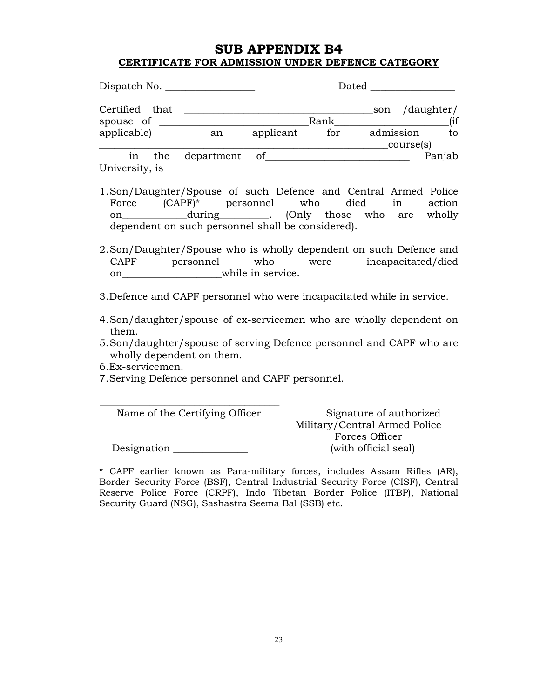## SUB APPENDIX B4 CERTIFICATE FOR ADMISSION UNDER DEFENCE CATEGORY

| Dispatch No.                      |               |           | Dated |           |            |        |
|-----------------------------------|---------------|-----------|-------|-----------|------------|--------|
| Certified that                    |               |           | Rank  | son       | /daughter/ | (iif   |
| spouse of $\equiv$<br>applicable) | an            | applicant | for   | admission | course(s)  | to     |
| in the<br>University, is          | department of |           |       |           |            | Panjab |

- 1.Son/Daughter/Spouse of such Defence and Central Armed Police Force (CAPF)\* personnel who died in action on\_\_\_\_\_\_\_\_\_\_\_\_\_\_\_\_\_\_\_\_\_\_\_\_\_\_\_\_\_\_\_\_. (Only those who are wholly dependent on such personnel shall be considered).
- 2.Son/Daughter/Spouse who is wholly dependent on such Defence and CAPF personnel who were incapacitated/died on while in service.
- 3.Defence and CAPF personnel who were incapacitated while in service.
- 4.Son/daughter/spouse of ex-servicemen who are wholly dependent on them.
- 5.Son/daughter/spouse of serving Defence personnel and CAPF who are wholly dependent on them.
- 6.Ex-servicemen.
- 7.Serving Defence personnel and CAPF personnel.

\_\_\_\_\_\_\_\_\_\_\_\_\_\_\_\_\_\_\_\_\_\_\_\_\_\_\_\_\_\_\_\_\_\_\_\_ Name of the Certifying Officer Signature of authorized

Military/Central Armed Police Forces Officer

Designation \_\_\_\_\_\_\_\_\_\_\_\_\_\_\_ (with official seal)

\* CAPF earlier known as Para-military forces, includes Assam Rifles (AR), Border Security Force (BSF), Central Industrial Security Force (CISF), Central Reserve Police Force (CRPF), Indo Tibetan Border Police (ITBP), National Security Guard (NSG), Sashastra Seema Bal (SSB) etc.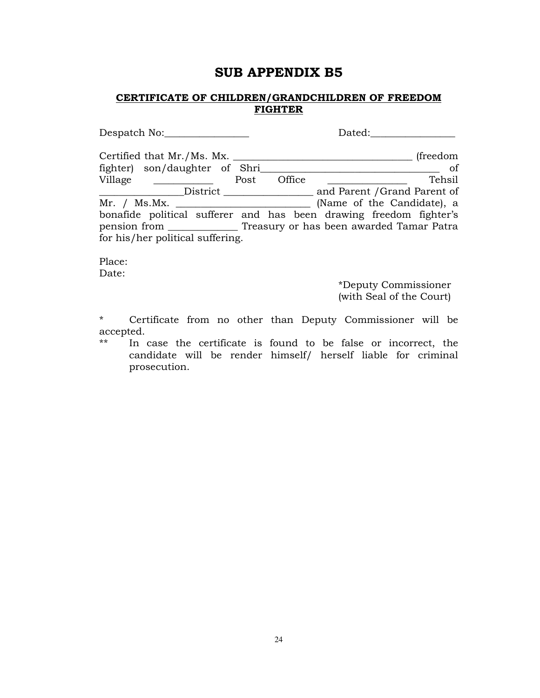## SUB APPENDIX B5

## CERTIFICATE OF CHILDREN/GRANDCHILDREN OF FREEDOM FIGHTER

| Despatch No:                                                              |      |        | Dated: |                              |          |
|---------------------------------------------------------------------------|------|--------|--------|------------------------------|----------|
| Certified that Mr./Ms. Mx.                                                |      |        |        |                              | (freedom |
| fighter) son/daughter of Shri                                             |      |        |        |                              | - of     |
| Village                                                                   | Post | Office |        |                              | Tehsil   |
| District                                                                  |      |        |        | and Parent / Grand Parent of |          |
|                                                                           |      |        |        | (Name of the Candidate), a   |          |
| bonafide political sufferer and has been drawing freedom fighter's        |      |        |        |                              |          |
| pension from ___________________ Treasury or has been awarded Tamar Patra |      |        |        |                              |          |
| for his/her political suffering.                                          |      |        |        |                              |          |

Place: Date:

> \*Deputy Commissioner (with Seal of the Court)

\* Certificate from no other than Deputy Commissioner will be  $\begin{array}{c}\n \text{accepted.} \\
* \cdot \quad \text{In} \n\end{array}$ 

In case the certificate is found to be false or incorrect, the candidate will be render himself/ herself liable for criminal prosecution.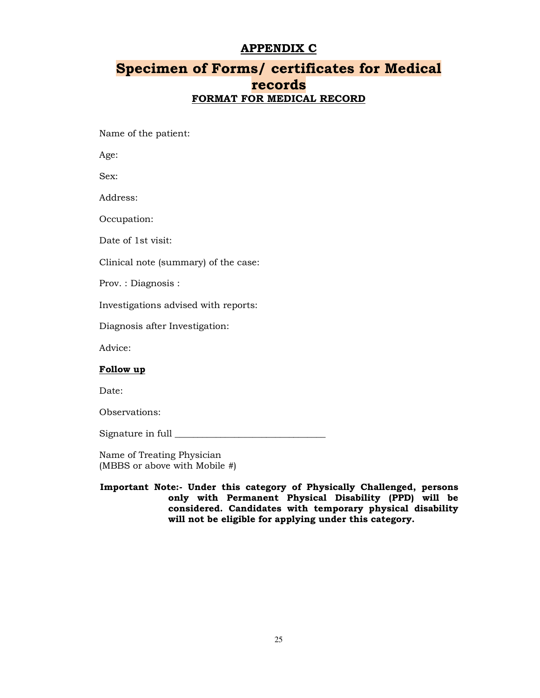## APPENDIX C

## Specimen of Forms/ certificates for Medical records FORMAT FOR MEDICAL RECORD

Name of the patient:

Age:

Sex:

Address:

Occupation:

Date of 1st visit:

Clinical note (summary) of the case:

Prov. : Diagnosis :

Investigations advised with reports:

Diagnosis after Investigation:

Advice:

## Follow up

Date:

Observations:

Signature in full \_\_\_\_\_\_\_\_\_\_\_\_\_\_\_\_\_\_\_\_\_\_\_\_\_\_\_\_\_\_\_\_\_

Name of Treating Physician (MBBS or above with Mobile #)

Important Note:- Under this category of Physically Challenged, persons only with Permanent Physical Disability (PPD) will be considered. Candidates with temporary physical disability will not be eligible for applying under this category.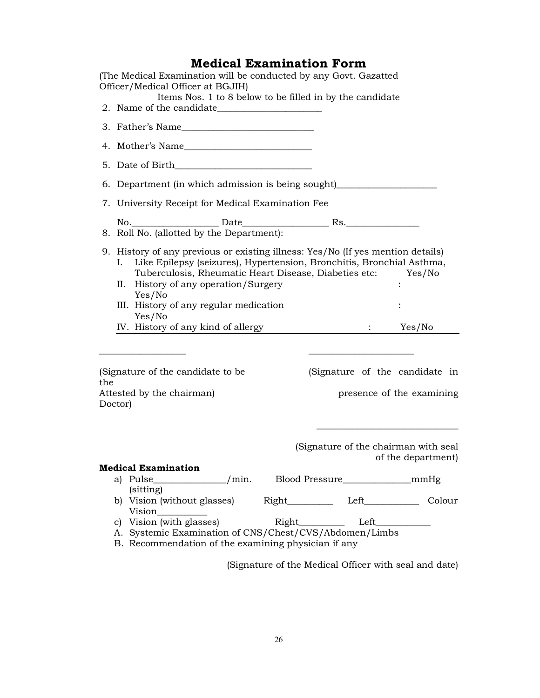## Medical Examination Form

(The Medical Examination will be conducted by any Govt. Gazatted Officer/Medical Officer at BGJIH) Items Nos. 1 to 8 below to be filled in by the candidate 2. Name of the candidate 3. Father's Name 4. Mother's Name\_\_\_\_\_\_\_\_\_\_\_\_\_\_\_\_\_\_\_\_\_\_\_\_\_\_\_\_ 5. Date of Birth\_\_\_\_\_\_\_\_\_\_\_\_\_\_\_\_\_\_\_\_\_\_\_\_\_\_\_\_\_\_ 6. Department (in which admission is being sought)\_\_\_\_\_\_\_\_\_\_\_\_\_\_\_\_\_\_\_\_\_\_ 7. University Receipt for Medical Examination Fee No. The Date of the Date of the Rs. 8. Roll No. (allotted by the Department): 9. History of any previous or existing illness: Yes/No (If yes mention details) I. Like Epilepsy (seizures), Hypertension, Bronchitis, Bronchial Asthma, Tuberculosis, Rheumatic Heart Disease, Diabeties etc: Yes/No II. History of any operation/Surgery Yes/No III. History of any regular medication : Yes/No IV. History of any kind of allergy : Yes/No  $\overline{\phantom{a}}$  ,  $\overline{\phantom{a}}$  ,  $\overline{\phantom{a}}$  ,  $\overline{\phantom{a}}$  ,  $\overline{\phantom{a}}$  ,  $\overline{\phantom{a}}$  ,  $\overline{\phantom{a}}$  ,  $\overline{\phantom{a}}$  ,  $\overline{\phantom{a}}$  ,  $\overline{\phantom{a}}$  ,  $\overline{\phantom{a}}$  ,  $\overline{\phantom{a}}$  ,  $\overline{\phantom{a}}$  ,  $\overline{\phantom{a}}$  ,  $\overline{\phantom{a}}$  ,  $\overline{\phantom{a}}$ (Signature of the candidate to be (Signature of the candidate in the Attested by the chairman) presence of the examining Doctor) \_\_\_\_\_\_\_\_\_\_\_\_\_\_\_\_\_\_\_\_\_\_\_\_\_\_\_\_\_\_\_ (Signature of the chairman with seal of the department) Medical Examination a) Pulse / min. Blood Pressure mmHg (sitting) b) Vision (without glasses) Right Left Colour Vision\_\_\_\_\_\_\_\_\_\_\_ c) Vision (with glasses) Right\_\_\_\_\_\_\_\_\_\_\_ Left\_ A. Systemic Examination of CNS/Chest/CVS/Abdomen/Limbs B. Recommendation of the examining physician if any

(Signature of the Medical Officer with seal and date)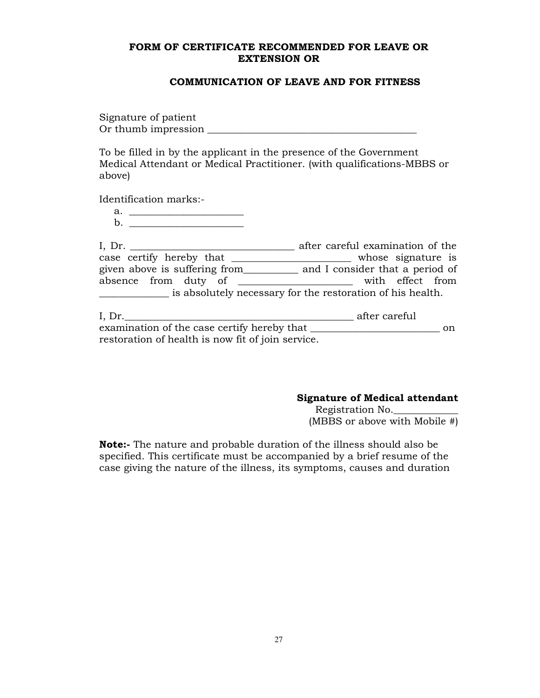## FORM OF CERTIFICATE RECOMMENDED FOR LEAVE OR EXTENSION OR

## COMMUNICATION OF LEAVE AND FOR FITNESS

Signature of patient Or thumb impression \_\_\_\_\_\_\_\_\_\_\_\_\_\_\_\_\_\_\_\_\_\_\_\_\_\_\_\_\_\_\_\_\_\_\_\_\_\_\_\_\_\_

To be filled in by the applicant in the presence of the Government Medical Attendant or Medical Practitioner. (with qualifications-MBBS or above)

Identification marks:-

a. \_\_\_\_\_\_\_\_\_\_\_\_\_\_\_\_\_\_\_\_\_\_\_

| I, $Dr.$                      | after careful examination of the                           |
|-------------------------------|------------------------------------------------------------|
| case certify hereby that      | whose signature is                                         |
| given above is suffering from | and I consider that a period of                            |
| absence from duty of          | with effect from                                           |
|                               | is absolutely necessary for the restoration of his health. |

| I, Dr.                                            | after careful |
|---------------------------------------------------|---------------|
| examination of the case certify hereby that       | on            |
| restoration of health is now fit of join service. |               |

## Signature of Medical attendant

Registration No.\_\_\_\_\_\_\_\_\_\_\_\_\_ (MBBS or above with Mobile  $#$ )

Note:- The nature and probable duration of the illness should also be specified. This certificate must be accompanied by a brief resume of the case giving the nature of the illness, its symptoms, causes and duration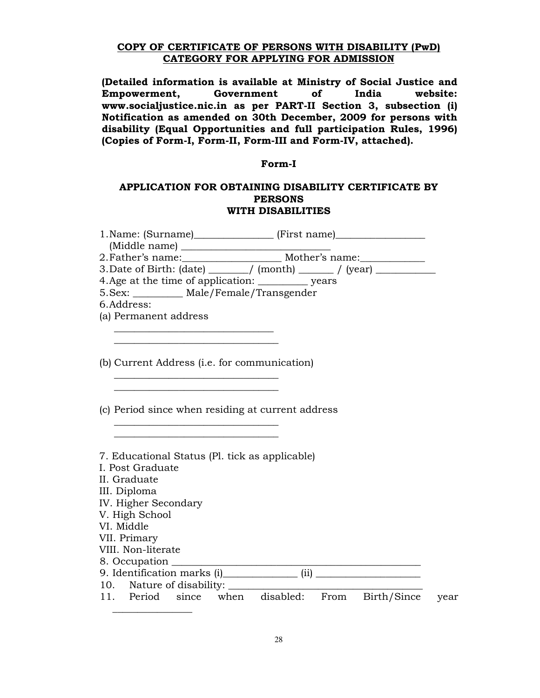## COPY OF CERTIFICATE OF PERSONS WITH DISABILITY (PwD) CATEGORY FOR APPLYING FOR ADMISSION

(Detailed information is available at Ministry of Social Justice and Empowerment, Government of India website: www.socialjustice.nic.in as per PART-II Section 3, subsection (i) Notification as amended on 30th December, 2009 for persons with disability (Equal Opportunities and full participation Rules, 1996) (Copies of Form-I, Form-II, Form-III and Form-IV, attached).

### Form-I

## APPLICATION FOR OBTAINING DISABILITY CERTIFICATE BY **PERSONS** WITH DISABILITIES

| 1. Name: (Surname)___________________ (First name)______________________________ |  |
|----------------------------------------------------------------------------------|--|
|                                                                                  |  |
|                                                                                  |  |
| 3. Date of Birth: (date) ______/ (month) _____/ (year) _________________________ |  |
|                                                                                  |  |
| 5. Sex: ____________ Male/Female/Transgender                                     |  |
| 6.Address:                                                                       |  |
| (a) Permanent address                                                            |  |
|                                                                                  |  |
|                                                                                  |  |
|                                                                                  |  |
| (b) Current Address (i.e. for communication)                                     |  |
|                                                                                  |  |
|                                                                                  |  |
|                                                                                  |  |
| (c) Period since when residing at current address                                |  |
|                                                                                  |  |
|                                                                                  |  |
|                                                                                  |  |
| 7. Educational Status (Pl. tick as applicable)<br>I. Post Graduate               |  |
| II. Graduate                                                                     |  |
|                                                                                  |  |
| III. Diploma<br>IV. Higher Secondary                                             |  |
| V. High School                                                                   |  |
| VI. Middle                                                                       |  |
| VII. Primary                                                                     |  |
| VIII. Non-literate                                                               |  |
|                                                                                  |  |
|                                                                                  |  |
| 10. Nature of disability:                                                        |  |
| 11. Period since when disabled: From Birth/Since                                 |  |
| year                                                                             |  |
|                                                                                  |  |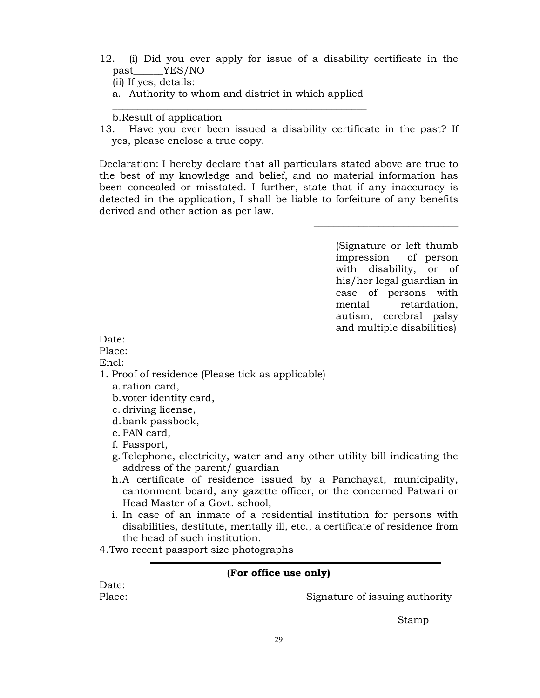12. (i) Did you ever apply for issue of a disability certificate in the past\_\_\_\_\_\_YES/NO

(ii) If yes, details:

a. Authority to whom and district in which applied \_\_\_\_\_\_\_\_\_\_\_\_\_\_\_\_\_\_\_\_\_\_\_\_\_\_\_\_\_\_\_\_\_\_\_\_\_\_\_\_\_\_\_\_\_\_\_\_\_\_\_

b.Result of application

13. Have you ever been issued a disability certificate in the past? If yes, please enclose a true copy.

Declaration: I hereby declare that all particulars stated above are true to the best of my knowledge and belief, and no material information has been concealed or misstated. I further, state that if any inaccuracy is detected in the application, I shall be liable to forfeiture of any benefits derived and other action as per law.

> (Signature or left thumb impression of person with disability, or of his/her legal guardian in case of persons with mental retardation, autism, cerebral palsy and multiple disabilities)

\_\_\_\_\_\_\_\_\_\_\_\_\_\_\_\_\_\_\_\_\_\_\_\_\_\_\_\_\_

### Date:

Place:

### Encl:

- 1. Proof of residence (Please tick as applicable)
	- a. ration card,
	- b.voter identity card,
	- c. driving license,
	- d.bank passbook,
	- e. PAN card,
	- f. Passport,
	- g. Telephone, electricity, water and any other utility bill indicating the address of the parent/ guardian
	- h.A certificate of residence issued by a Panchayat, municipality, cantonment board, any gazette officer, or the concerned Patwari or Head Master of a Govt. school,
	- i. In case of an inmate of a residential institution for persons with disabilities, destitute, mentally ill, etc., a certificate of residence from the head of such institution.
- 4.Two recent passport size photographs

## (For office use only)

Date:

Place: Signature of issuing authority

Stamp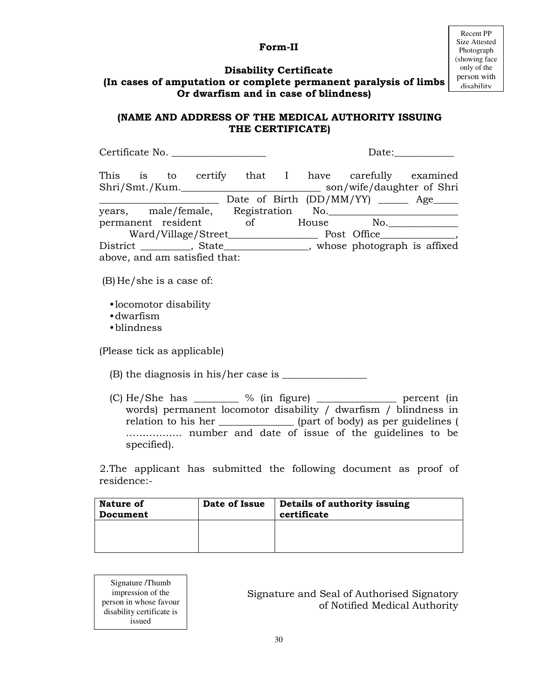## Form-II

## Disability Certificate

## (In cases of amputation or complete permanent paralysis of limbs Or dwarfism and in case of blindness)

## (NAME AND ADDRESS OF THE MEDICAL AUTHORITY ISSUING THE CERTIFICATE)

| Certificate No.                                                                                                                                                                                                                                                                      |  |  |
|--------------------------------------------------------------------------------------------------------------------------------------------------------------------------------------------------------------------------------------------------------------------------------------|--|--|
| This is to certify that I have carefully examined<br>Date of Birth (DD/MM/YY) _____ Age____                                                                                                                                                                                          |  |  |
| years, male/female, Registration No. 1990.                                                                                                                                                                                                                                           |  |  |
| permanent resident of House No.                                                                                                                                                                                                                                                      |  |  |
|                                                                                                                                                                                                                                                                                      |  |  |
| District __________, State________________, whose photograph is affixed                                                                                                                                                                                                              |  |  |
| above, and am satisfied that:                                                                                                                                                                                                                                                        |  |  |
| $(B)$ He/she is a case of:<br>•locomotor disability<br>$\cdot$ dwarfism<br>•blindness                                                                                                                                                                                                |  |  |
| (Please tick as applicable)                                                                                                                                                                                                                                                          |  |  |
|                                                                                                                                                                                                                                                                                      |  |  |
| (C) He/She has _________ % (in figure) ________________ percent (in<br>words) permanent locomotor disability / dwarfism / blindness in<br>relation to his her ________________ (part of body) as per guidelines (<br>number and date of issue of the guidelines to be<br>specified). |  |  |

2.The applicant has submitted the following document as proof of residence:-

| Nature of<br>Document | Date of Issue | Details of authority issuing<br>certificate |
|-----------------------|---------------|---------------------------------------------|
|                       |               |                                             |

Signature /Thumb impression of the person in whose favour disability certificate is issued

Signature and Seal of Authorised Signatory of Notified Medical Authority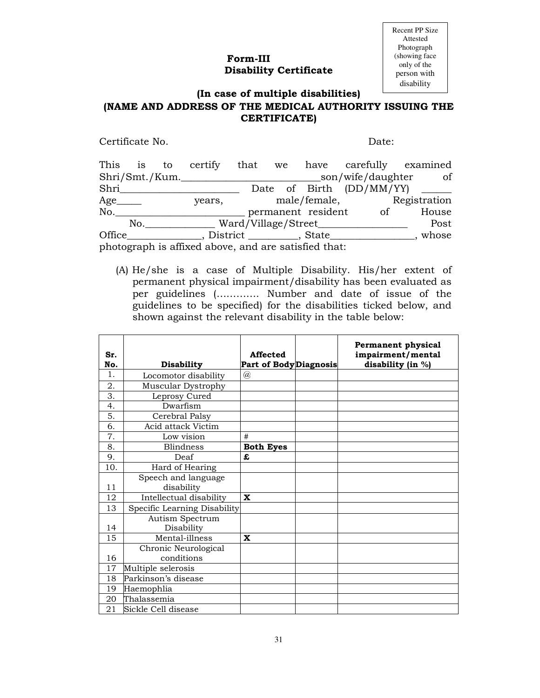## Form-III Disability Certificate

Recent PP Size Attested Photograph (showing face only of the person with disability

## (In case of multiple disabilities) (NAME AND ADDRESS OF THE MEDICAL AUTHORITY ISSUING THE CERTIFICATE)

Certificate No. Date:

|                                                      |     |  |                |  |  |                                     |                       | This is to certify that we have carefully examined |
|------------------------------------------------------|-----|--|----------------|--|--|-------------------------------------|-----------------------|----------------------------------------------------|
|                                                      |     |  | Shri/Smt./Kum. |  |  |                                     | _son/wife/daughter    | of                                                 |
| Shri                                                 |     |  |                |  |  |                                     |                       | Date of Birth (DD/MM/YY) _______                   |
| $Age$ <sub>_________</sub>                           |     |  | years,         |  |  |                                     |                       | male/female, Registration                          |
| No.                                                  |     |  |                |  |  |                                     | permanent resident of | House                                              |
|                                                      | No. |  |                |  |  | __ Ward/Village/Street______        |                       | Post                                               |
| Office                                               |     |  |                |  |  | _, District ____________, State____ |                       | whose                                              |
| photograph is affixed above, and are satisfied that: |     |  |                |  |  |                                     |                       |                                                    |

(A) He/she is a case of Multiple Disability. His/her extent of permanent physical impairment/disability has been evaluated as per guidelines (…………. Number and date of issue of the guidelines to be specified) for the disabilities ticked below, and shown against the relevant disability in the table below:

| Sr.<br>No. | <b>Disability</b>            | Affected<br><b>Part of BodyDiagnosis</b> | <b>Permanent physical</b><br>impairment/mental<br>disability (in %) |
|------------|------------------------------|------------------------------------------|---------------------------------------------------------------------|
| 1.         | Locomotor disability         | $^{\textregistered}$                     |                                                                     |
| 2.         | Muscular Dystrophy           |                                          |                                                                     |
| 3.         | Leprosy Cured                |                                          |                                                                     |
| 4.         | Dwarfism                     |                                          |                                                                     |
| 5.         | Cerebral Palsy               |                                          |                                                                     |
| 6.         | Acid attack Victim           |                                          |                                                                     |
| 7.         | Low vision                   | #                                        |                                                                     |
| 8.         | <b>Blindness</b>             | <b>Both Eyes</b>                         |                                                                     |
| 9.         | Deaf                         | £                                        |                                                                     |
| 10.        | Hard of Hearing              |                                          |                                                                     |
|            | Speech and language          |                                          |                                                                     |
| 11         | disability                   |                                          |                                                                     |
| 12         | Intellectual disability      | $\mathbf x$                              |                                                                     |
| 13         | Specific Learning Disability |                                          |                                                                     |
|            | Autism Spectrum              |                                          |                                                                     |
| 14         | Disability                   |                                          |                                                                     |
| 15         | Mental-illness               | X                                        |                                                                     |
|            | Chronic Neurological         |                                          |                                                                     |
| 16         | conditions                   |                                          |                                                                     |
| 17         | Multiple selerosis           |                                          |                                                                     |
| 18         | Parkinson's disease          |                                          |                                                                     |
| 19         | Haemophlia                   |                                          |                                                                     |
| 20         | Thalassemia                  |                                          |                                                                     |
| 21         | Sickle Cell disease          |                                          |                                                                     |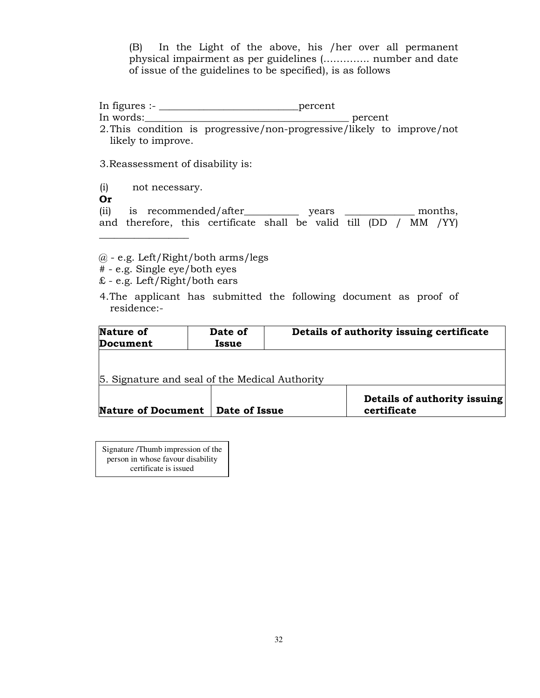(B) In the Light of the above, his /her over all permanent physical impairment as per guidelines (………….. number and date of issue of the guidelines to be specified), is as follows

In figures :- \_\_\_\_\_\_\_\_\_\_\_\_\_\_\_\_\_\_\_\_\_\_\_\_\_\_\_\_percent In words: where the set of  $\alpha$  is the set of  $\alpha$  is the percent percent of  $\alpha$ 

2.This condition is progressive/non-progressive/likely to improve/not likely to improve.

3.Reassessment of disability is:

(i) not necessary.

Or

(ii) is recommended/after\_\_\_\_\_\_\_\_\_\_\_ years \_\_\_\_\_\_\_\_\_\_\_\_\_\_ months, and therefore, this certificate shall be valid till (DD / MM /YY)  $\_$ 

@ - e.g. Left/Right/both arms/legs

- # e.g. Single eye/both eyes
- £ e.g. Left/Right/both ears
- 4.The applicant has submitted the following document as proof of residence:-

| Nature of<br>Document                          | Date of<br><b>Issue</b> | Details of authority issuing certificate    |  |  |  |
|------------------------------------------------|-------------------------|---------------------------------------------|--|--|--|
| 5. Signature and seal of the Medical Authority |                         |                                             |  |  |  |
| Nature of Document   Date of Issue             |                         | Details of authority issuing<br>certificate |  |  |  |

j Signature /Thumb impression of the person in whose favour disability certificate is issued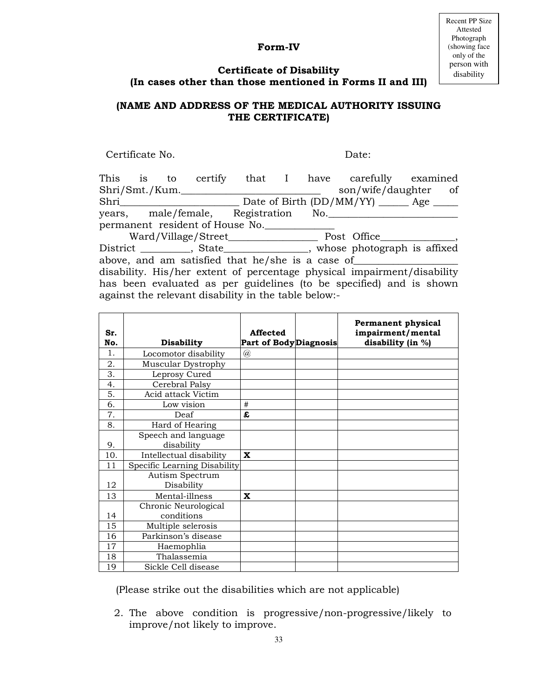## Form-IV

Recent PP Size Attested Photograph (showing face only of the person with disability

## Certificate of Disability (In cases other than those mentioned in Forms II and III)

## (NAME AND ADDRESS OF THE MEDICAL AUTHORITY ISSUING THE CERTIFICATE)

Certificate No. Date:

| This is        |  |                                                      |  | to certify that I have carefully examined                               |  |
|----------------|--|------------------------------------------------------|--|-------------------------------------------------------------------------|--|
| Shri/Smt./Kum. |  |                                                      |  | son/wife/daughter of                                                    |  |
| Shri           |  |                                                      |  | Date of Birth (DD/MM/YY) ______ Age _____                               |  |
|                |  | years, male/female, Registration No.                 |  |                                                                         |  |
|                |  | permanent resident of House No.                      |  |                                                                         |  |
|                |  |                                                      |  |                                                                         |  |
|                |  |                                                      |  | District __________, State_______________, whose photograph is affixed  |  |
|                |  | above, and am satisfied that he/she is a case of     |  |                                                                         |  |
|                |  |                                                      |  | disability. His/her extent of percentage physical impairment/disability |  |
|                |  |                                                      |  | has been evaluated as per guidelines (to be specified) and is shown     |  |
|                |  | against the relevant disability in the table below:- |  |                                                                         |  |

| Sr.<br>No.     | <b>Disability</b>             | Affected<br><b>Part of BodyDiagnosis</b> | <b>Permanent physical</b><br>impairment/mental<br>disability (in %) |
|----------------|-------------------------------|------------------------------------------|---------------------------------------------------------------------|
| $\mathbf{1}$ . | Locomotor disability          | $^{\textregistered}$                     |                                                                     |
| 2.             | Muscular Dystrophy            |                                          |                                                                     |
| 3.             | Leprosy Cured                 |                                          |                                                                     |
| 4.             | Cerebral Palsy                |                                          |                                                                     |
| 5.             | Acid attack Victim            |                                          |                                                                     |
| 6.             | Low vision                    | #                                        |                                                                     |
| 7.             | Deaf                          | £                                        |                                                                     |
| 8.             | Hard of Hearing               |                                          |                                                                     |
|                | Speech and language           |                                          |                                                                     |
| 9.             | disability                    |                                          |                                                                     |
| 10.            | Intellectual disability       | $\mathbf x$                              |                                                                     |
| 11             | Specific Learning Disability  |                                          |                                                                     |
| 12             | Autism Spectrum<br>Disability |                                          |                                                                     |
| 13             | Mental-illness                | $\mathbf x$                              |                                                                     |
|                | Chronic Neurological          |                                          |                                                                     |
| 14             | conditions                    |                                          |                                                                     |
| 15             | Multiple selerosis            |                                          |                                                                     |
| 16             | Parkinson's disease           |                                          |                                                                     |
| 17             | Haemophlia                    |                                          |                                                                     |
| 18             | Thalassemia                   |                                          |                                                                     |
| 19             | Sickle Cell disease           |                                          |                                                                     |

(Please strike out the disabilities which are not applicable)

2. The above condition is progressive/non-progressive/likely to improve/not likely to improve.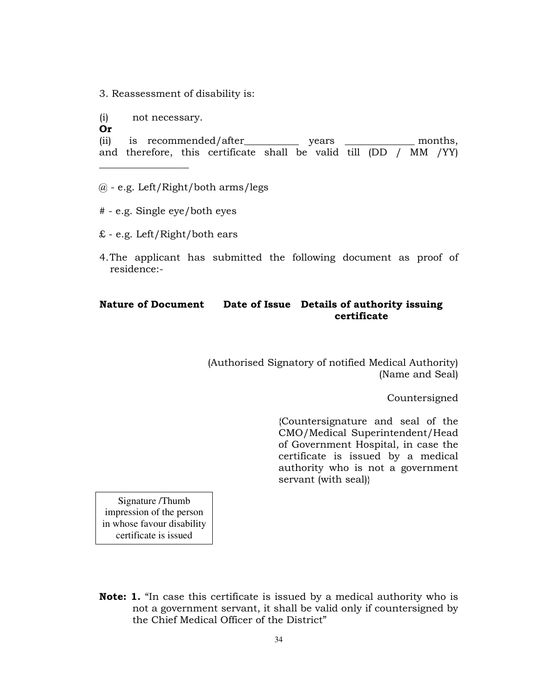3. Reassessment of disability is:

(i) not necessary.

\_\_\_\_\_\_\_\_\_\_\_\_\_\_\_\_\_\_

Or

(ii) is recommended/after\_\_\_\_\_\_\_\_\_\_\_ years \_\_\_\_\_\_\_\_\_\_\_\_\_\_ months, and therefore, this certificate shall be valid till (DD / MM /YY)

- $@$  e.g. Left/Right/both arms/legs
- # e.g. Single eye/both eyes
- £ e.g. Left/Right/both ears
- 4.The applicant has submitted the following document as proof of residence:-

## Nature of Document Date of Issue Details of authority issuing certificate

(Authorised Signatory of notified Medical Authority) (Name and Seal)

Countersigned

{Countersignature and seal of the CMO/Medical Superintendent/Head of Government Hospital, in case the certificate is issued by a medical authority who is not a government servant (with seal)}

Signature /Thumb impression of the person in whose favour disability certificate is issued

Note: 1. "In case this certificate is issued by a medical authority who is not a government servant, it shall be valid only if countersigned by the Chief Medical Officer of the District"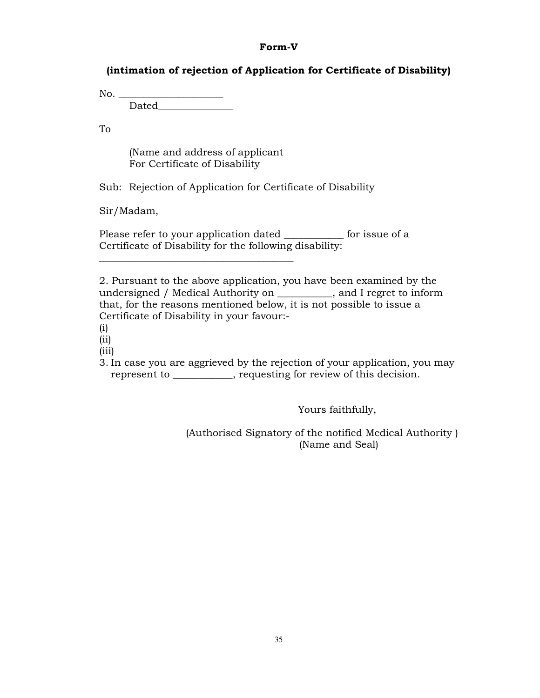### Form-V

## (intimation of rejection of Application for Certificate of Disability)

 $No.$ 

 $Dated$ 

To

 (Name and address of applicant For Certificate of Disability

 $\frac{1}{2}$  ,  $\frac{1}{2}$  ,  $\frac{1}{2}$  ,  $\frac{1}{2}$  ,  $\frac{1}{2}$  ,  $\frac{1}{2}$  ,  $\frac{1}{2}$  ,  $\frac{1}{2}$  ,  $\frac{1}{2}$  ,  $\frac{1}{2}$  ,  $\frac{1}{2}$  ,  $\frac{1}{2}$  ,  $\frac{1}{2}$  ,  $\frac{1}{2}$  ,  $\frac{1}{2}$  ,  $\frac{1}{2}$  ,  $\frac{1}{2}$  ,  $\frac{1}{2}$  ,  $\frac{1$ 

Sub: Rejection of Application for Certificate of Disability

Sir/Madam,

Please refer to your application dated \_\_\_\_\_\_\_\_\_\_\_\_ for issue of a Certificate of Disability for the following disability:

2. Pursuant to the above application, you have been examined by the undersigned / Medical Authority on \_\_\_\_\_\_\_\_\_\_\_, and I regret to inform that, for the reasons mentioned below, it is not possible to issue a Certificate of Disability in your favour:-

(i)

(ii)

(iii)

3. In case you are aggrieved by the rejection of your application, you may represent to \_\_\_\_\_\_\_\_\_\_\_\_, requesting for review of this decision.

Yours faithfully,

(Authorised Signatory of the notified Medical Authority ) (Name and Seal)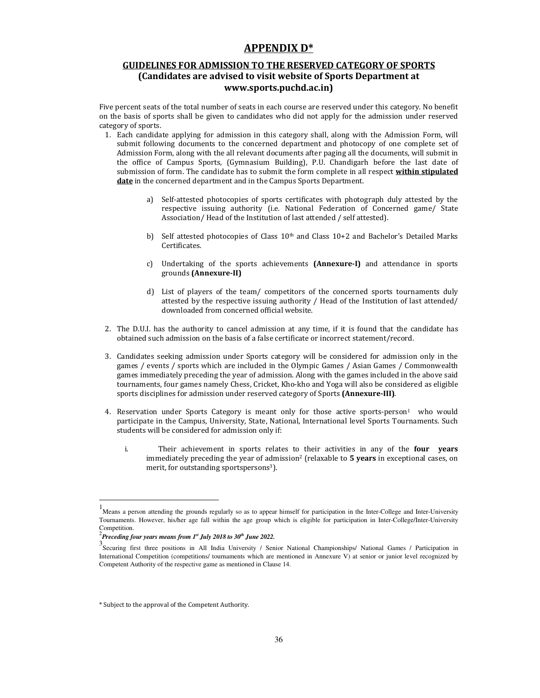## APPENDIX D\*

### GUIDELINES FOR ADMISSION TO THE RESERVED CATEGORY OF SPORTS (Candidates are advised to visit website of Sports Department at www.sports.puchd.ac.in)

Five percent seats of the total number of seats in each course are reserved under this category. No benefit on the basis of sports shall be given to candidates who did not apply for the admission under reserved category of sports.

- 1. Each candidate applying for admission in this category shall, along with the Admission Form, will submit following documents to the concerned department and photocopy of one complete set of Admission Form, along with the all relevant documents after paging all the documents, will submit in the office of Campus Sports, (Gymnasium Building), P.U. Chandigarh before the last date of submission of form. The candidate has to submit the form complete in all respect within stipulated date in the concerned department and in the Campus Sports Department.
	- a) Self-attested photocopies of sports certificates with photograph duly attested by the respective issuing authority (i.e. National Federation of Concerned game/ State Association/ Head of the Institution of last attended / self attested).
	- b) Self attested photocopies of Class  $10<sup>th</sup>$  and Class  $10+2$  and Bachelor's Detailed Marks Certificates.
	- c) Undertaking of the sports achievements (Annexure-I) and attendance in sports grounds (Annexure-II)
	- d) List of players of the team/ competitors of the concerned sports tournaments duly attested by the respective issuing authority / Head of the Institution of last attended/ downloaded from concerned official website.
- 2. The D.U.I. has the authority to cancel admission at any time, if it is found that the candidate has obtained such admission on the basis of a false certificate or incorrect statement/record.
- 3. Candidates seeking admission under Sports category will be considered for admission only in the games / events / sports which are included in the Olympic Games / Asian Games / Commonwealth games immediately preceding the year of admission. Along with the games included in the above said tournaments, four games namely Chess, Cricket, Kho-kho and Yoga will also be considered as eligible sports disciplines for admission under reserved category of Sports (Annexure-III).
- 4. Reservation under Sports Category is meant only for those active sports-person<sup>1</sup> who would participate in the Campus, University, State, National, International level Sports Tournaments. Such students will be considered for admission only if:
	- i. Their achievement in sports relates to their activities in any of the **four years** immediately preceding the year of admission<sup>2</sup> (relaxable to 5 years in exceptional cases, on merit, for outstanding sportspersons<sup>3</sup>).

 $\ddot{\phantom{a}}$ 

<sup>1&</sup>lt;br>Means a person attending the grounds regularly so as to appear himself for participation in the Inter-College and Inter-University Tournaments. However, his/her age fall within the age group which is eligible for participation in Inter-College/Inter-University Competition.

<sup>2</sup> *Preceding four years means from 1st July 2018 to 30th June 2022.*

<sup>3&</sup>lt;br>Securing first three positions in All India University / Senior National Championships/ National Games / Participation in International Competition (competitions/ tournaments which are mentioned in Annexure V) at senior or junior level recognized by Competent Authority of the respective game as mentioned in Clause 14.

<sup>\*</sup> Subject to the approval of the Competent Authority.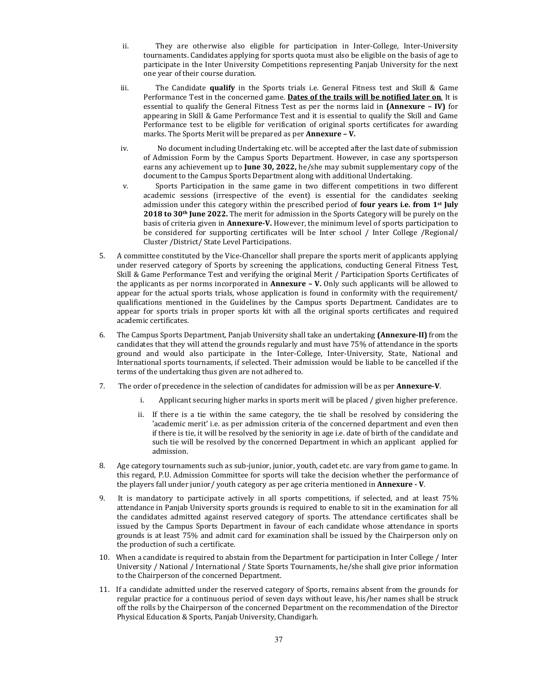- ii. They are otherwise also eligible for participation in Inter-College, Inter-University tournaments. Candidates applying for sports quota must also be eligible on the basis of age to participate in the Inter University Competitions representing Panjab University for the next one year of their course duration.
- iii. The Candidate qualify in the Sports trials i.e. General Fitness test and Skill & Game Performance Test in the concerned game. Dates of the trails will be notified later on. It is essential to qualify the General Fitness Test as per the norms laid in (Annexure – IV) for appearing in Skill & Game Performance Test and it is essential to qualify the Skill and Game Performance test to be eligible for verification of original sports certificates for awarding marks. The Sports Merit will be prepared as per **Annexure - V.**
- iv. No document including Undertaking etc. will be accepted after the last date of submission of Admission Form by the Campus Sports Department. However, in case any sportsperson earns any achievement up to June 30, 2022, he/she may submit supplementary copy of the document to the Campus Sports Department along with additional Undertaking.
- v. Sports Participation in the same game in two different competitions in two different academic sessions (irrespective of the event) is essential for the candidates seeking admission under this category within the prescribed period of **four years i.e. from**  $1<sup>st</sup>$  **July** 2018 to 30<sup>th</sup> June 2022. The merit for admission in the Sports Category will be purely on the basis of criteria given in **Annexure-V**. However, the minimum level of sports participation to be considered for supporting certificates will be Inter school / Inter College /Regional/ Cluster /District/ State Level Participations.
- 5. A committee constituted by the Vice-Chancellor shall prepare the sports merit of applicants applying under reserved category of Sports by screening the applications, conducting General Fitness Test, Skill & Game Performance Test and verifying the original Merit / Participation Sports Certificates of the applicants as per norms incorporated in **Annexure – V.** Only such applicants will be allowed to appear for the actual sports trials, whose application is found in conformity with the requirement/ qualifications mentioned in the Guidelines by the Campus sports Department. Candidates are to appear for sports trials in proper sports kit with all the original sports certificates and required academic certificates.
- 6. The Campus Sports Department, Panjab University shall take an undertaking (Annexure-II) from the candidates that they will attend the grounds regularly and must have 75% of attendance in the sports ground and would also participate in the Inter-College, Inter-University, State, National and International sports tournaments, if selected. Their admission would be liable to be cancelled if the terms of the undertaking thus given are not adhered to.
- 7. The order of precedence in the selection of candidates for admission will be as per Annexure-V.
	- i. Applicant securing higher marks in sports merit will be placed / given higher preference.
	- ii. If there is a tie within the same category, the tie shall be resolved by considering the 'academic merit' i.e. as per admission criteria of the concerned department and even then if there is tie, it will be resolved by the seniority in age i.e. date of birth of the candidate and such tie will be resolved by the concerned Department in which an applicant applied for admission.
- 8. Age category tournaments such as sub-junior, junior, youth, cadet etc. are vary from game to game. In this regard, P.U. Admission Committee for sports will take the decision whether the performance of the players fall under junior/ youth category as per age criteria mentioned in **Annexure - V**.
- 9. It is mandatory to participate actively in all sports competitions, if selected, and at least 75% attendance in Panjab University sports grounds is required to enable to sit in the examination for all the candidates admitted against reserved category of sports. The attendance certificates shall be issued by the Campus Sports Department in favour of each candidate whose attendance in sports grounds is at least 75% and admit card for examination shall be issued by the Chairperson only on the production of such a certificate.
- 10. When a candidate is required to abstain from the Department for participation in Inter College / Inter University / National / International / State Sports Tournaments, he/she shall give prior information to the Chairperson of the concerned Department.
- 11. If a candidate admitted under the reserved category of Sports, remains absent from the grounds for regular practice for a continuous period of seven days without leave, his/her names shall be struck off the rolls by the Chairperson of the concerned Department on the recommendation of the Director Physical Education & Sports, Panjab University, Chandigarh.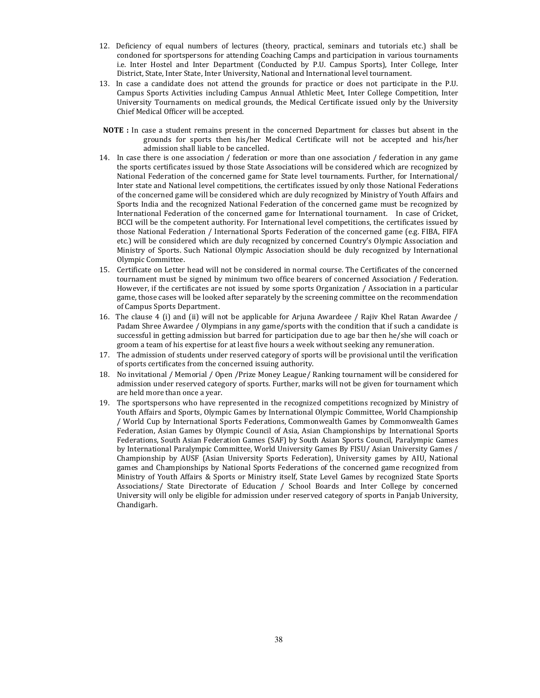- 12. Deficiency of equal numbers of lectures (theory, practical, seminars and tutorials etc.) shall be condoned for sportspersons for attending Coaching Camps and participation in various tournaments i.e. Inter Hostel and Inter Department (Conducted by P.U. Campus Sports), Inter College, Inter District, State, Inter State, Inter University, National and International level tournament.
- 13. In case a candidate does not attend the grounds for practice or does not participate in the P.U. Campus Sports Activities including Campus Annual Athletic Meet, Inter College Competition, Inter University Tournaments on medical grounds, the Medical Certificate issued only by the University Chief Medical Officer will be accepted.
- NOTE : In case a student remains present in the concerned Department for classes but absent in the grounds for sports then his/her Medical Certificate will not be accepted and his/her admission shall liable to be cancelled.
- 14. In case there is one association / federation or more than one association / federation in any game the sports certificates issued by those State Associations will be considered which are recognized by National Federation of the concerned game for State level tournaments. Further, for International/ Inter state and National level competitions, the certificates issued by only those National Federations of the concerned game will be considered which are duly recognized by Ministry of Youth Affairs and Sports India and the recognized National Federation of the concerned game must be recognized by International Federation of the concerned game for International tournament. In case of Cricket, BCCI will be the competent authority. For International level competitions, the certificates issued by those National Federation / International Sports Federation of the concerned game (e.g. FIBA, FIFA etc.) will be considered which are duly recognized by concerned Country's Olympic Association and Ministry of Sports. Such National Olympic Association should be duly recognized by International Olympic Committee.
- 15. Certificate on Letter head will not be considered in normal course. The Certificates of the concerned tournament must be signed by minimum two office bearers of concerned Association / Federation. However, if the certificates are not issued by some sports Organization / Association in a particular game, those cases will be looked after separately by the screening committee on the recommendation of Campus Sports Department.
- 16. The clause 4 (i) and (ii) will not be applicable for Arjuna Awardeee / Rajiv Khel Ratan Awardee / Padam Shree Awardee / Olympians in any game/sports with the condition that if such a candidate is successful in getting admission but barred for participation due to age bar then he/she will coach or groom a team of his expertise for at least five hours a week without seeking any remuneration.
- 17. The admission of students under reserved category of sports will be provisional until the verification of sports certificates from the concerned issuing authority.
- 18. No invitational / Memorial / Open /Prize Money League/ Ranking tournament will be considered for admission under reserved category of sports. Further, marks will not be given for tournament which are held more than once a year.
- 19. The sportspersons who have represented in the recognized competitions recognized by Ministry of Youth Affairs and Sports, Olympic Games by International Olympic Committee, World Championship / World Cup by International Sports Federations, Commonwealth Games by Commonwealth Games Federation, Asian Games by Olympic Council of Asia, Asian Championships by International Sports Federations, South Asian Federation Games (SAF) by South Asian Sports Council, Paralympic Games by International Paralympic Committee, World University Games By FISU/ Asian University Games / Championship by AUSF (Asian University Sports Federation), University games by AIU, National games and Championships by National Sports Federations of the concerned game recognized from Ministry of Youth Affairs & Sports or Ministry itself, State Level Games by recognized State Sports Associations/ State Directorate of Education / School Boards and Inter College by concerned University will only be eligible for admission under reserved category of sports in Panjab University, Chandigarh.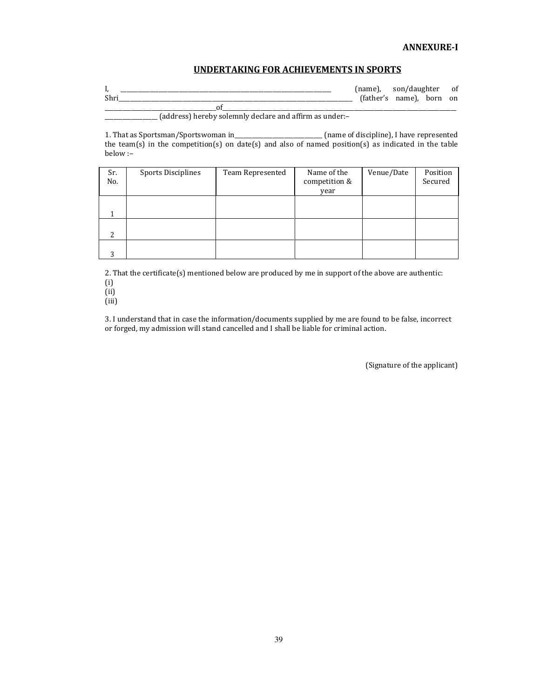### UNDERTAKING FOR ACHIEVEMENTS IN SPORTS

|                                                      | (name), son/daughter of |                          |  |
|------------------------------------------------------|-------------------------|--------------------------|--|
| Shri                                                 |                         | (father's name), born on |  |
|                                                      |                         |                          |  |
| Coddwood houghy colomnly declare and offirm as under |                         |                          |  |

\_\_\_\_\_\_\_\_\_\_\_\_\_\_\_\_\_\_ (address) hereby solemnly declare and affirm as under:–

1. That as Sportsman/Sportswoman in\_\_\_\_\_\_\_\_\_\_\_\_\_\_\_\_\_\_\_\_\_\_\_\_\_\_\_\_\_\_ (name of discipline), I have represented the team(s) in the competition(s) on date(s) and also of named position(s) as indicated in the table below :–

| Sr.<br>No.     | <b>Sports Disciplines</b> | Team Represented | Name of the<br>competition &<br>year | Venue/Date | Position<br>Secured |
|----------------|---------------------------|------------------|--------------------------------------|------------|---------------------|
|                |                           |                  |                                      |            |                     |
| $\overline{c}$ |                           |                  |                                      |            |                     |
| 2              |                           |                  |                                      |            |                     |

2. That the certificate(s) mentioned below are produced by me in support of the above are authentic: (i)

(ii)

(iii)

3. I understand that in case the information/documents supplied by me are found to be false, incorrect or forged, my admission will stand cancelled and I shall be liable for criminal action.

(Signature of the applicant)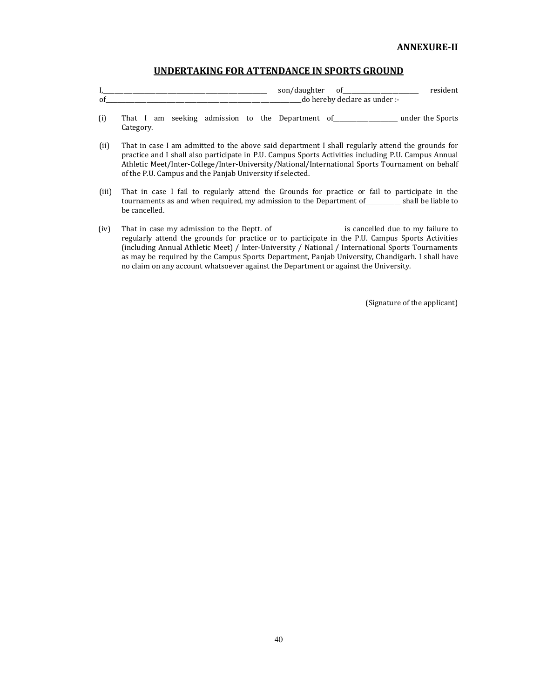### UNDERTAKING FOR ATTENDANCE IN SPORTS GROUND

|    | نتن ت<br> | ~<br>0    |  |
|----|-----------|-----------|--|
| 01 | do<br>    | nder<br>- |  |

- (i) That I am seeking admission to the Department of\_\_\_\_\_\_\_\_\_\_\_\_\_\_\_\_\_\_\_\_\_\_ under the Sports Category.
- (ii) That in case I am admitted to the above said department I shall regularly attend the grounds for practice and I shall also participate in P.U. Campus Sports Activities including P.U. Campus Annual Athletic Meet/Inter-College/Inter-University/National/International Sports Tournament on behalf of the P.U. Campus and the Panjab University if selected.
- (iii) That in case I fail to regularly attend the Grounds for practice or fail to participate in the tournaments as and when required, my admission to the Department of\_\_\_\_\_\_\_\_\_\_\_\_ shall be liable to be cancelled.
- (iv) That in case my admission to the Deptt. of \_\_\_\_\_\_\_\_\_\_\_\_\_\_\_\_\_\_\_\_\_\_\_\_is cancelled due to my failure to regularly attend the grounds for practice or to participate in the P.U. Campus Sports Activities (including Annual Athletic Meet) / Inter-University / National / International Sports Tournaments as may be required by the Campus Sports Department, Panjab University, Chandigarh. I shall have no claim on any account whatsoever against the Department or against the University.

(Signature of the applicant)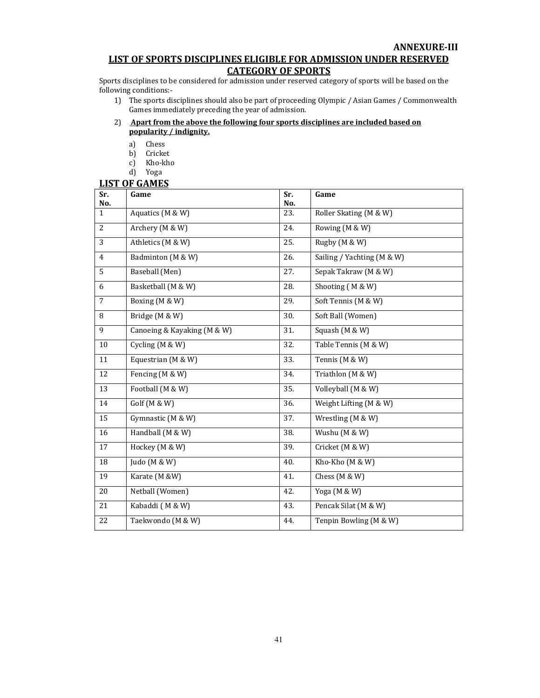## ANNEXURE-III LIST OF SPORTS DISCIPLINES ELIGIBLE FOR ADMISSION UNDER RESERVED

## CATEGORY OF SPORTS

Sports disciplines to be considered for admission under reserved category of sports will be based on the following conditions:-

- 1) The sports disciplines should also be part of proceeding Olympic / Asian Games / Commonwealth Games immediately preceding the year of admission.
- 2) Apart from the above the following four sports disciplines are included based on popularity / indignity.
	- a) Chess
	- b) Cricket
	- c) Kho-kho
	- d) Yoga

### LIST OF GAMES

| Sr.<br>No.     | Game                        | Sr.<br>No. | Game                       |
|----------------|-----------------------------|------------|----------------------------|
| $\mathbf{1}$   | Aquatics (M & W)            | 23.        | Roller Skating (M & W)     |
| 2              | Archery (M & W)             | 24.        | Rowing (M & W)             |
| 3              | Athletics (M & W)           | 25.        | Rugby (M & W)              |
| $\overline{4}$ | Badminton (M & W)           | 26.        | Sailing / Yachting (M & W) |
| 5              | Baseball (Men)              | 27.        | Sepak Takraw (M & W)       |
| 6              | Basketball (M & W)          | 28.        | Shooting (M & W)           |
| $\overline{7}$ | Boxing (M & W)              | 29.        | Soft Tennis (M & W)        |
| 8              | Bridge (M & W)              | 30.        | Soft Ball (Women)          |
| 9              | Canoeing & Kayaking (M & W) | 31.        | Squash (M & W)             |
| 10             | Cycling (M & W)             | 32.        | Table Tennis (M & W)       |
| 11             | Equestrian (M & W)          | 33.        | Tennis (M & W)             |
| 12             | Fencing (M & W)             | 34.        | Triathlon (M & W)          |
| 13             | Football (M & W)            | 35.        | Volleyball (M & W)         |
| 14             | Golf (M & W)                | 36.        | Weight Lifting (M & W)     |
| 15             | Gymnastic (M & W)           | 37.        | Wrestling (M & W)          |
| 16             | Handball (M & W)            | 38.        | Wushu (M & W)              |
| 17             | Hockey (M & W)              | 39.        | Cricket (M & W)            |
| 18             | Judo (M & W)                | 40.        | Kho-Kho (M & W)            |
| 19             | Karate (M &W)               | 41.        | Chess (M & W)              |
| 20             | Netball (Women)             | 42.        | Yoga (M & W)               |
| 21             | Kabaddi (M & W)             | 43.        | Pencak Silat (M & W)       |
| 22             | Taekwondo (M & W)           | 44.        | Tenpin Bowling (M & W)     |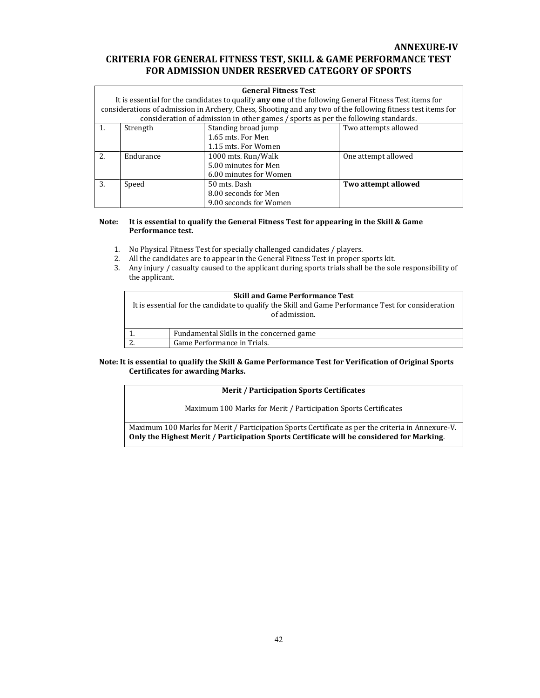## ANNEXURE-IV CRITERIA FOR GENERAL FITNESS TEST, SKILL & GAME PERFORMANCE TEST FOR ADMISSION UNDER RESERVED CATEGORY OF SPORTS

|    | <b>General Fitness Test</b>                                                                                  |                                                                                                             |                      |  |  |  |
|----|--------------------------------------------------------------------------------------------------------------|-------------------------------------------------------------------------------------------------------------|----------------------|--|--|--|
|    | It is essential for the candidates to qualify <b>any one</b> of the following General Fitness Test items for |                                                                                                             |                      |  |  |  |
|    |                                                                                                              | considerations of admission in Archery, Chess, Shooting and any two of the following fitness test items for |                      |  |  |  |
|    |                                                                                                              | consideration of admission in other games / sports as per the following standards.                          |                      |  |  |  |
| 1. | Strength                                                                                                     | Standing broad jump                                                                                         | Two attempts allowed |  |  |  |
|    |                                                                                                              | 1.65 mts. For Men                                                                                           |                      |  |  |  |
|    |                                                                                                              | 1.15 mts. For Women                                                                                         |                      |  |  |  |
| 2. | Endurance                                                                                                    | 1000 mts. Run/Walk                                                                                          | One attempt allowed  |  |  |  |
|    |                                                                                                              | 5.00 minutes for Men                                                                                        |                      |  |  |  |
|    |                                                                                                              | 6.00 minutes for Women                                                                                      |                      |  |  |  |
| 3. | Speed                                                                                                        | 50 mts. Dash                                                                                                | Two attempt allowed  |  |  |  |
|    |                                                                                                              | 8.00 seconds for Men                                                                                        |                      |  |  |  |
|    |                                                                                                              | 9.00 seconds for Women                                                                                      |                      |  |  |  |

### Note: It is essential to qualify the General Fitness Test for appearing in the Skill & Game Performance test.

- 1. No Physical Fitness Test for specially challenged candidates / players.
- 2. All the candidates are to appear in the General Fitness Test in proper sports kit.
- 3. Any injury / casualty caused to the applicant during sports trials shall be the sole responsibility of the applicant.

| <b>Skill and Game Performance Test</b>                                                             |                                          |  |  |  |  |
|----------------------------------------------------------------------------------------------------|------------------------------------------|--|--|--|--|
| It is essential for the candidate to qualify the Skill and Game Performance Test for consideration |                                          |  |  |  |  |
|                                                                                                    | of admission.                            |  |  |  |  |
|                                                                                                    |                                          |  |  |  |  |
|                                                                                                    | Fundamental Skills in the concerned game |  |  |  |  |
|                                                                                                    | Game Performance in Trials.              |  |  |  |  |

### Note: It is essential to qualify the Skill & Game Performance Test for Verification of Original Sports Certificates for awarding Marks.

### Merit / Participation Sports Certificates

Maximum 100 Marks for Merit / Participation Sports Certificates

Maximum 100 Marks for Merit / Participation Sports Certificate as per the criteria in Annexure-V. Only the Highest Merit / Participation Sports Certificate will be considered for Marking.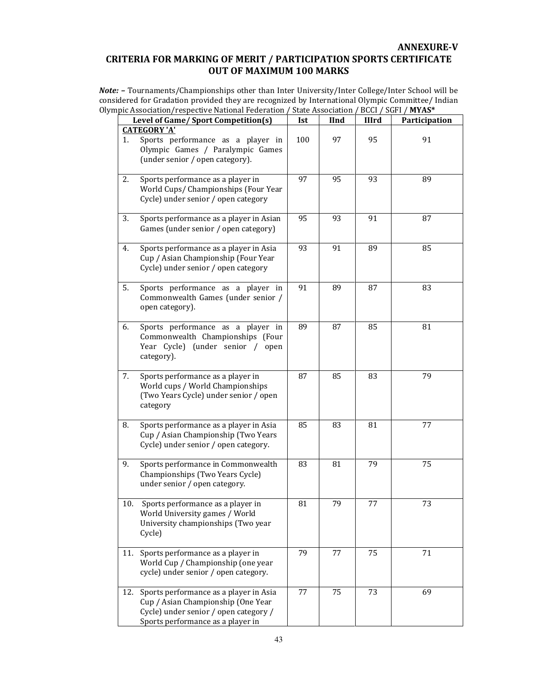## ANNEXURE-V CRITERIA FOR MARKING OF MERIT / PARTICIPATION SPORTS CERTIFICATE OUT OF MAXIMUM 100 MARKS

Note: - Tournaments/Championships other than Inter University/Inter College/Inter School will be considered for Gradation provided they are recognized by International Olympic Committee/ Indian Olympic Association/respective National Federation / State Association / BCCI / SGFI / MYAS\*

|     | Level of Game/ Sport Competition(s)                                                                                                                        | Ist | <b>IInd</b> | <b>IIIrd</b> | Participation |
|-----|------------------------------------------------------------------------------------------------------------------------------------------------------------|-----|-------------|--------------|---------------|
|     | <b>CATEGORY 'A'</b>                                                                                                                                        |     |             |              |               |
| 1.  | Sports performance as a player in<br>Olympic Games / Paralympic Games<br>(under senior / open category).                                                   | 100 | 97          | 95           | 91            |
| 2.  | Sports performance as a player in<br>World Cups/ Championships (Four Year<br>Cycle) under senior / open category                                           | 97  | 95          | 93           | 89            |
| 3.  | Sports performance as a player in Asian<br>Games (under senior / open category)                                                                            | 95  | 93          | 91           | 87            |
| 4.  | Sports performance as a player in Asia<br>Cup / Asian Championship (Four Year<br>Cycle) under senior / open category                                       | 93  | 91          | 89           | 85            |
| 5.  | Sports performance as a player in<br>Commonwealth Games (under senior /<br>open category).                                                                 | 91  | 89          | 87           | 83            |
| 6.  | Sports performance as a player in<br>Commonwealth Championships (Four<br>Year Cycle) (under senior / open<br>category).                                    | 89  | 87          | 85           | 81            |
| 7.  | Sports performance as a player in<br>World cups / World Championships<br>(Two Years Cycle) under senior / open<br>category                                 | 87  | 85          | 83           | 79            |
| 8.  | Sports performance as a player in Asia<br>Cup / Asian Championship (Two Years<br>Cycle) under senior / open category.                                      | 85  | 83          | 81           | 77            |
| 9.  | Sports performance in Commonwealth<br>Championships (Two Years Cycle)<br>under senior / open category.                                                     | 83  | 81          | 79           | 75            |
| 10. | Sports performance as a player in<br>World University games / World<br>University championships (Two year<br>Cycle)                                        | 81  | 79          | 77           | 73            |
| 11. | Sports performance as a player in<br>World Cup / Championship (one year<br>cycle) under senior / open category.                                            | 79  | 77          | 75           | 71            |
| 12. | Sports performance as a player in Asia<br>Cup / Asian Championship (One Year<br>Cycle) under senior / open category /<br>Sports performance as a player in | 77  | 75          | 73           | 69            |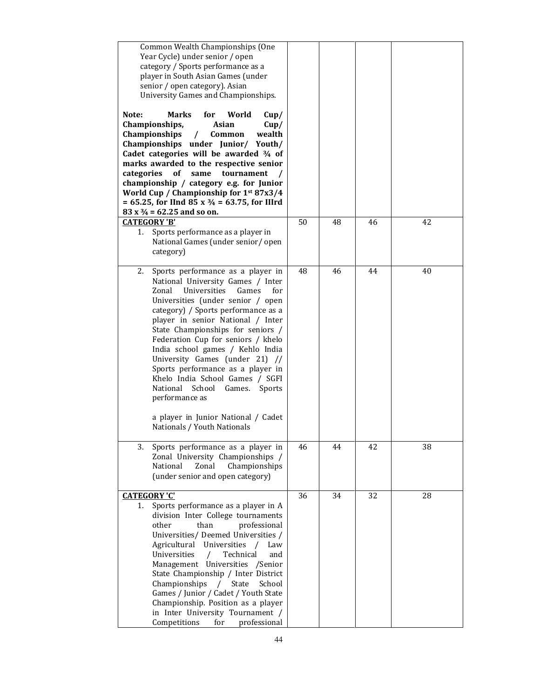| Common Wealth Championships (One<br>Year Cycle) under senior / open<br>category / Sports performance as a<br>player in South Asian Games (under<br>senior / open category). Asian<br>University Games and Championships.<br><b>Marks</b><br>Note:<br>for<br>World<br>Cup/<br>Championships,<br>Asian<br>Cup/<br>Championships<br>$\prime$<br>Common<br>wealth<br>Championships under Junior/ Youth/<br>Cadet categories will be awarded $\frac{3}{4}$ of<br>marks awarded to the respective senior<br>categories<br>same<br>tournament<br>of<br>championship / category e.g. for Junior<br>World Cup / Championship for 1st 87x3/4<br>= 65.25, for IInd 85 x $\frac{3}{4}$ = 63.75, for IIIrd<br>$83 \times \frac{3}{4} = 62.25$ and so on. |    |    |    |    |
|---------------------------------------------------------------------------------------------------------------------------------------------------------------------------------------------------------------------------------------------------------------------------------------------------------------------------------------------------------------------------------------------------------------------------------------------------------------------------------------------------------------------------------------------------------------------------------------------------------------------------------------------------------------------------------------------------------------------------------------------|----|----|----|----|
| <b>CATEGORY 'B'</b><br>Sports performance as a player in<br>1.<br>National Games (under senior/open<br>category)                                                                                                                                                                                                                                                                                                                                                                                                                                                                                                                                                                                                                            | 50 | 48 | 46 | 42 |
| Sports performance as a player in<br>2.<br>National University Games / Inter<br>Universities<br>Zonal<br>Games<br>for<br>Universities (under senior / open<br>category) / Sports performance as a<br>player in senior National / Inter<br>State Championships for seniors /<br>Federation Cup for seniors / khelo<br>India school games / Kehlo India<br>University Games (under 21) //<br>Sports performance as a player in<br>Khelo India School Games / SGFI<br>School<br>National<br>Games.<br>Sports<br>performance as<br>a player in Junior National / Cadet<br>Nationals / Youth Nationals                                                                                                                                           | 48 | 46 | 44 | 40 |
| Sports performance as a player in<br>3.<br>Zonal University Championships /<br>Zonal<br>Championships<br>National<br>(under senior and open category)                                                                                                                                                                                                                                                                                                                                                                                                                                                                                                                                                                                       | 46 | 44 | 42 | 38 |
| <b>CATEGORY 'C'</b><br>Sports performance as a player in A<br>1.<br>division Inter College tournaments<br>professional<br>other<br>than<br>Universities/ Deemed Universities /<br>Universities<br>Agricultural<br>Law<br>$\prime$<br>Universities<br>Technical<br>and<br>$\prime$<br>Management Universities /Senior<br>State Championship / Inter District<br>State<br>School<br>Championships<br>$\sqrt{2}$<br>Games / Junior / Cadet / Youth State<br>Championship. Position as a player<br>in Inter University Tournament /<br>Competitions<br>professional<br>for                                                                                                                                                                      | 36 | 34 | 32 | 28 |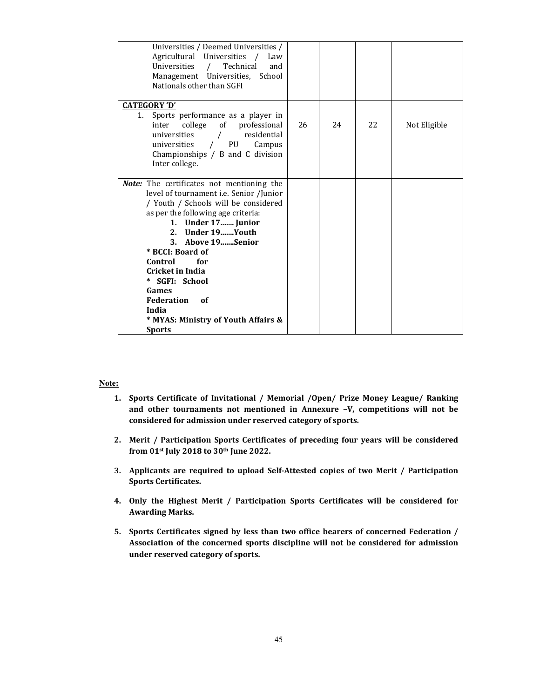| Universities / Deemed Universities /<br>Agricultural Universities<br>Law<br>Universities<br>Technical<br>$\sqrt{ }$<br>and<br>Management Universities, School<br>Nationals other than SGFI                                                                                                                                                                                                                            |    |     |     |              |
|-----------------------------------------------------------------------------------------------------------------------------------------------------------------------------------------------------------------------------------------------------------------------------------------------------------------------------------------------------------------------------------------------------------------------|----|-----|-----|--------------|
| <b>CATEGORY 'D'</b><br>Sports performance as a player in<br>1.<br>college of professional<br>inter<br>residential<br>universities<br>PU<br>universities<br>Campus<br>$\prime$<br>Championships $/$ B and C division<br>Inter college.                                                                                                                                                                                 | 26 | 2.4 | 22. | Not Eligible |
| Note: The certificates not mentioning the<br>level of tournament i.e. Senior /Junior<br>/ Youth / Schools will be considered<br>as per the following age criteria:<br>1. Under 17 Junior<br>Under 19Youth<br>2.<br>3. Above 19Senior<br>* BCCI: Board of<br>Control<br>for<br><b>Cricket in India</b><br>* SGFI: School<br>Games<br>Federation<br>of<br>India<br>* MYAS: Ministry of Youth Affairs &<br><b>Sports</b> |    |     |     |              |

### **Note:**

- 1. Sports Certificate of Invitational / Memorial /Open/ Prize Money League/ Ranking and other tournaments not mentioned in Annexure –V, competitions will not be considered for admission under reserved category of sports.
- 2. Merit / Participation Sports Certificates of preceding four years will be considered from 01<sup>st</sup> July 2018 to 30<sup>th</sup> June 2022.
- 3. Applicants are required to upload Self-Attested copies of two Merit / Participation Sports Certificates.
- 4. Only the Highest Merit / Participation Sports Certificates will be considered for Awarding Marks.
- 5. Sports Certificates signed by less than two office bearers of concerned Federation / Association of the concerned sports discipline will not be considered for admission under reserved category of sports.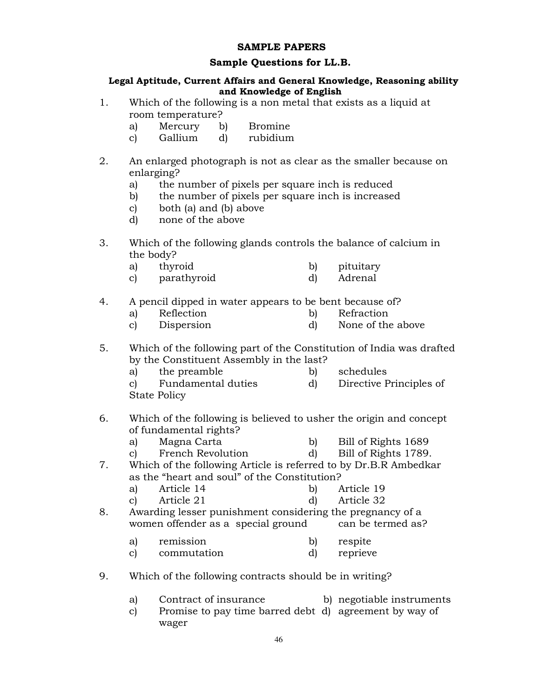## SAMPLE PAPERS

## Sample Questions for LL.B.

## Legal Aptitude, Current Affairs and General Knowledge, Reasoning ability and Knowledge of English

- 1. Which of the following is a non metal that exists as a liquid at room temperature?
	- a) Mercury b) Bromine
	- c) Gallium d) rubidium
- 2. An enlarged photograph is not as clear as the smaller because on enlarging?
	- a) the number of pixels per square inch is reduced
	- b) the number of pixels per square inch is increased
	- c) both (a) and (b) above
	- d) none of the above
- 3. Which of the following glands controls the balance of calcium in the body?
	- a) thyroid b) pituitary
	- c) parathyroid d) Adrenal

## 4. A pencil dipped in water appears to be bent because of?

- a) Reflection b) Refraction
- c) Dispersion d) None of the above

5. Which of the following part of the Constitution of India was drafted by the Constituent Assembly in the last?

- a) the preamble b) schedules
- c) Fundamental duties d) Directive Principles of
- State Policy
- 6. Which of the following is believed to usher the origin and concept of fundamental rights?
	- a) Magna Carta b) Bill of Rights 1689
	- c) French Revolution d) Bill of Rights 1789.
- 7. Which of the following Article is referred to by Dr.B.R Ambedkar as the "heart and soul" of the Constitution?
	- a) Article 14 b) Article 19
	- c) Article 21 d) Article 32
- 8. Awarding lesser punishment considering the pregnancy of a women offender as a special ground
	- a) remission b) respite
	- c) commutation d) reprieve
- 9. Which of the following contracts should be in writing?
	- a) Contract of insurance b) negotiable instruments
	- c) Promise to pay time barred debt d) agreement by way of wager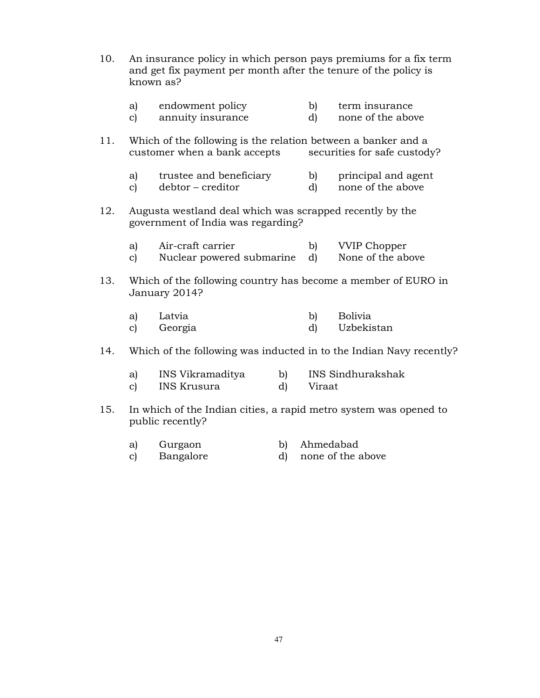| 10. | An insurance policy in which person pays premiums for a fix term<br>and get fix payment per month after the tenure of the policy is<br>known as? |                                                                                       |          |                                          |  |  |  |
|-----|--------------------------------------------------------------------------------------------------------------------------------------------------|---------------------------------------------------------------------------------------|----------|------------------------------------------|--|--|--|
|     | a)<br>$\mathbf{c}$                                                                                                                               | endowment policy<br>annuity insurance                                                 | b)<br>d) | term insurance<br>none of the above      |  |  |  |
| 11. | Which of the following is the relation between a banker and a<br>customer when a bank accepts<br>securities for safe custody?                    |                                                                                       |          |                                          |  |  |  |
|     | a)<br>$\mathbf{c}$                                                                                                                               | trustee and beneficiary<br>debtor - creditor                                          | b)<br>d) | principal and agent<br>none of the above |  |  |  |
| 12. | Augusta westland deal which was scrapped recently by the<br>government of India was regarding?                                                   |                                                                                       |          |                                          |  |  |  |
|     | a)<br>$\mathbf{c}$                                                                                                                               | Air-craft carrier<br>Nuclear powered submarine                                        | b)<br>d) | <b>VVIP Chopper</b><br>None of the above |  |  |  |
| 13. | Which of the following country has become a member of EURO in<br>January 2014?                                                                   |                                                                                       |          |                                          |  |  |  |
|     | a)<br>$\mathbf{c}$                                                                                                                               | Latvia<br>Georgia                                                                     | b)<br>d) | <b>Bolivia</b><br>Uzbekistan             |  |  |  |
| 14. | Which of the following was inducted in to the Indian Navy recently?                                                                              |                                                                                       |          |                                          |  |  |  |
|     | a)<br>c)                                                                                                                                         | INS Vikramaditya<br>$\mathbf{b}$ )<br><b>INS Krusura</b><br>d)                        | Viraat   | <b>INS Sindhurakshak</b>                 |  |  |  |
| 15. |                                                                                                                                                  | In which of the Indian cities, a rapid metro system was opened to<br>public recently? |          |                                          |  |  |  |

- 
- a) Gurgaon b) Ahmedabad<br>c) Bangalore d) none of the a none of the above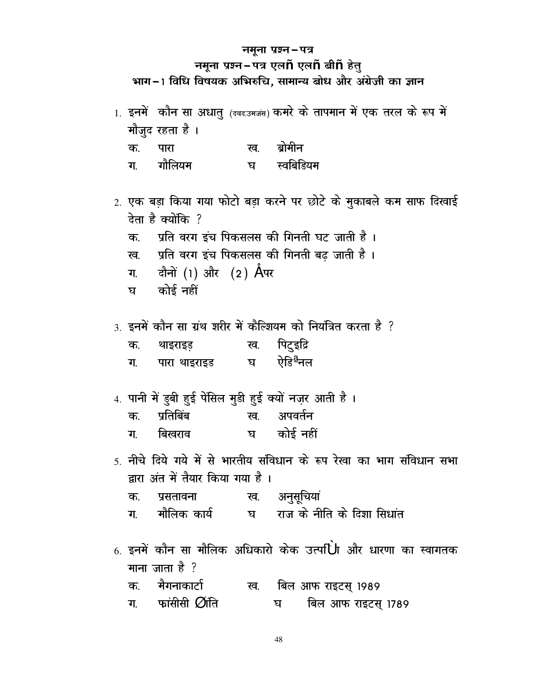## **नमूना प्रश्न-पत्र**

## $\overline{u}$ नमूना प्रश्न-पत्र एल $\overline{n}$  एल $\overline{n}$  बी $\overline{n}$  हेतु

भाग-1 विधि विषयक अभिरुचि, सामान्य बोध और अंग्रेजी का ज्ञान

|                                                    |                                                          |  | 1. इनमें कौन सा अधातु (क्वद.उमजंस) कमरे के तापमान में एक तरल के रूप में |  |  |  |  |
|----------------------------------------------------|----------------------------------------------------------|--|-------------------------------------------------------------------------|--|--|--|--|
| मौजुद रहता है ।                                    |                                                          |  |                                                                         |  |  |  |  |
| क.                                                 | पारा                                                     |  | ख. ब्रोमीन                                                              |  |  |  |  |
|                                                    | ग. गौलियम                                                |  | घ स्वबिडियम                                                             |  |  |  |  |
|                                                    |                                                          |  |                                                                         |  |  |  |  |
|                                                    |                                                          |  | 2. एक बड़ा किया गया फोटो बड़ा करने पर छोटे के मुकाबले कम साफ दिखाई      |  |  |  |  |
| देता है क्योंकि ?                                  |                                                          |  |                                                                         |  |  |  |  |
| प्रति वरग इंच पिकसलस की गिनती घट जाती है ।<br>क.   |                                                          |  |                                                                         |  |  |  |  |
| प्रति वरग इंच पिकसलस की गिनती बढ़ जाती है ।<br>रव. |                                                          |  |                                                                         |  |  |  |  |
|                                                    | ग. दौनों (1) और (2) Aपर                                  |  |                                                                         |  |  |  |  |
|                                                    | घ कोई नहीं                                               |  |                                                                         |  |  |  |  |
|                                                    |                                                          |  |                                                                         |  |  |  |  |
|                                                    |                                                          |  | 3. इनमें कौन सा ग्रंथ शरीर में कैल्शियम को नियंत्रित करता है ?          |  |  |  |  |
| क.                                                 | थाइराइड़ ख. पिटुइद्रि                                    |  |                                                                         |  |  |  |  |
| ग.                                                 | पारा थाइराइड        घ      ऐडि <sup><u>क्ष्</u>नल</sup>  |  |                                                                         |  |  |  |  |
|                                                    |                                                          |  |                                                                         |  |  |  |  |
|                                                    | 4. पानी में डुबी हुई पेंसिल मुडी हुई क्यों नज़र आती है । |  |                                                                         |  |  |  |  |
| क.                                                 | प्रतिबिंब                                                |  | ख. अपवर्तन                                                              |  |  |  |  |

- ग. बिखराव य कोई-नहीं
- 5. नीचे दिये गये में से भारतीय संविधान के रूप रेखा का भाग संविधान सभा द्वारा अंत में तैयार किया गया है।
	- क. प्रसतावना ख. अनुसूचियां
	- ग. मौलिक कार्य घ राज के नीति के दिशा सिधांत
- $6.$  इनमें कौन सा मौलिक अधिकारो केक उत्प $\dot{\textbf U}$ h और धारणा का स्वागतक माना जाता है $\gamma$ क. मैगनाकार्टा रव. बिल आफ राइटस् 1989
	- ग. फांसीसी Øांति या बिल आफ राइटस् 1789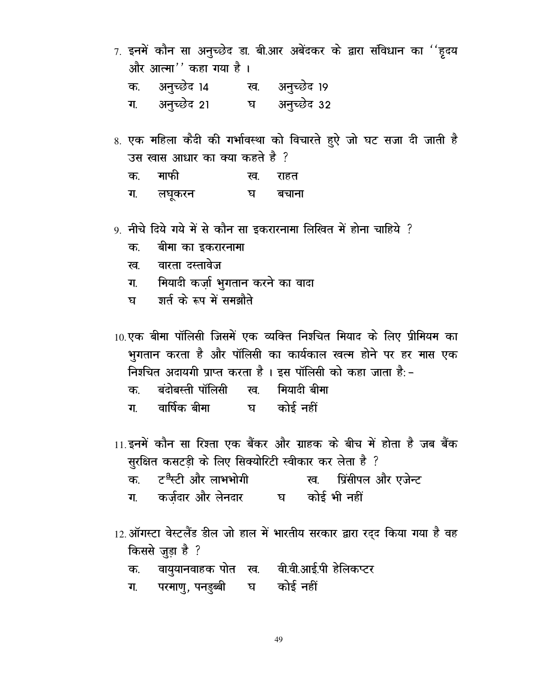- $7.$  इनमें कौन सा अनुच्छेद डा. बी.आर अबेंदकर के द्वारा संविधान का ''हृदय और आत्मा $'$ ' कहा गया है।
	- क. अनुच्छेद 14 रव. अनुच्छेद 19
	- ग. अनुच्छेद 21 घ अनुच्छेद 32
- 8. एक महिला कैदी की गर्भावस्था को विचारते हुऐ जो घट सजा दी जाती है उस खास आधार का क्या कहते है ? क. माफी सव. राहत
	- ग. लघूकरन घ बचाना
- 9. नीचे दिये गये में से कौन सा इकरारनामा लिखित में होना चाहिये ?
	- क. वीमा का इकरारनामा
	- ख. वारता दस्तावेज
	- ग. मियादी कर्जा भुगतान करने का वादा
	- घ शर्त के रूप में समझौते

 $10.$ एक बीमा पॉलिसी जिसमें एक व्यक्ति निश्चित मियाद के लिए प्रीमियम का भुगतान करता है और पॉलिसी का कार्यकाल खत्म होने पर हर मास एक fिरचित अदायगी प्राप्त करता है। इस पॉलिसी को कहा जाता है:-क. बंदोबस्ती पॉलिसी ख. मियादी बीमा ग. वार्षिक बीमा - घ कोई नहीं

- $11.$ इनमें कौन सा रिश्ता एक बैंकर और ग्राहक के बीच में होता है जब बैंक सुरक्षित कसटड़ी के लिए सिक्योरिटी स्वीकार कर लेता है ?
	- d- VªLVh vk Sj ykHkHkksxh [k- fizalhiy vk Sj ,tsUV
	- ग. कर्जदार और लेनदार घ कोई भी नहीं
- $12$ . ऑगस्टा वेस्टलैंड डील जो हाल में भारतीय सरकार द्वारा रद्द किया गया है वह किससे जुड़ा है ?
	- क. वायुयानवाहक पोत ख. वी.वी.आई.पी हेलिकप्टर
	- ग. परमाण्, पनड़ब्बी घ कोई नहीं

49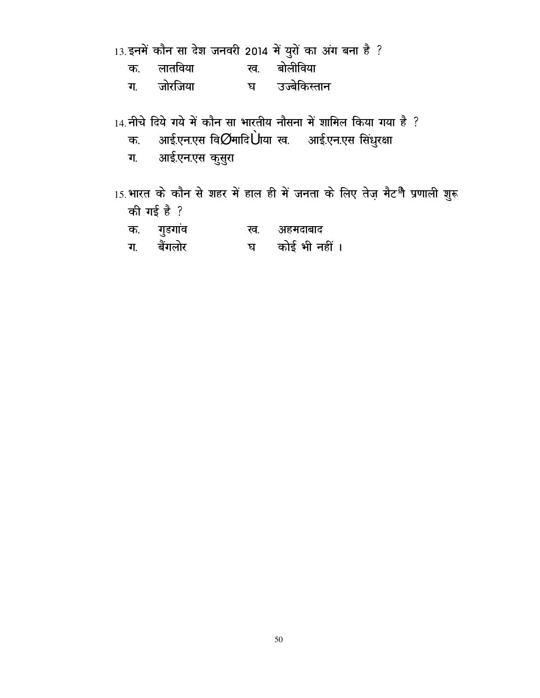|  |  | 13.इनमें कौन सा देश जनवरी 2014 में युरों का अंग बना है ? |  |  |  |  |
|--|--|----------------------------------------------------------|--|--|--|--|
|  |  |                                                          |  |  |  |  |
|  |  |                                                          |  |  |  |  |

- क. लातविया ख. बोलीविया
- ग. जोरजिया घ उज्बेकिस्तान
- $14.$  नीचे दिये गये में कौन सा भारतीय नौसना में शामिल किया गया है ?
	- क. आई.एन.एस वि $\cancel{\mathcal{O}}$ मादि $\dot{\bigcup}$ ाया ख. आई.एन.एस सिंधुरक्षा
	- ग. आई.एन.एस कुसुरा
- 15.भारत के कौन से शहर में हाल ही में जनता के लिए तेज़ मैट<sup>9</sup>ी प्रणाली शुरू की गई है ?
	- क. गुडगांव ख. अहमदाबाद
	- ग. बैंगलोर य कोई भी नहीं ।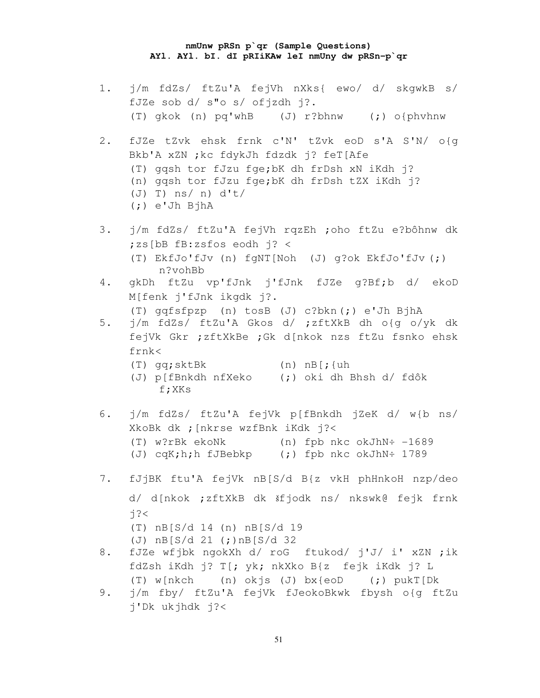### **nmUnw pRSn p`qr (Sample Questions) AYl. AYl. bI. dI pRIiKAw leI nmUny dw pRSn-p`qr**

1. j/m fdZs/ ftZu'A fejVh nXks{ ewo/ d/ skgwkB s/ fJZe sob d/ s"o s/ ofjzdh j?. (T) gkok (n) pq'whB (J) r?bhnw (;) o{phvhnw 2. fJZe tZvk ehsk frnk c'N' tZvk eoD s'A S'N/ o{g Bkb'A xZN ;kc fdykJh fdzdk j? feT[Afe (T) gqsh tor fJzu fge;bK dh frDsh xN iKdh j? (n) gqsh tor fJzu fge;bK dh frDsh tZX iKdh j? (J) T) ns/ n) d't/ (;) e'Jh BjhA 3. j/m fdZs/ ftZu'A fejVh rqzEh ;oho ftZu e?bôhnw dk ;zs[bB fB:zsfos eodh j? < (T) EkfJo'fJv (n) fgNT[Noh (J) g?ok EkfJo'fJv (;) n?vohBb 4. gkDh ftZu vp'fJnk j'fJnk fJZe g?Bf;b d/ ekoD M[fenk j'fJnk ikgdk j?. (T) gqfsfpzp (n) tosB (J) c?bkn (;) e'Jh BjhA 5. j/m fdZs/ ftZu'A Gkos d/ ;zftXkB dh o{g o/yk dk fejVk Gkr ;zftXkBe ;Gk d[nkok nzs ftZu fsnko ehsk frnk< (T) gq;sktBk (n) nB[;{uh (J) p[fBnkdh nfXeko (;) oki dh Bhsh d/ fdôk f;XKs 6. j/m fdZs/ ftZu'A fejVk p[fBnkdh jZeK d/ w{b ns/ XkoBk dk ;[nkrse wzfBnk iKdk j?< (T) w?rBk ekoNk (n) fpb nkc okJhN÷ -1689 (J) cqK;h;h fJBebkp (;) fpb nkc okJhN÷ 1789 7. fJjBK ftu'A fejVk nB[S/d B{z vkH phHnkoH nzp/deo d/ d[nkok ;zftXkB dk šfjodk ns/ nkswk@ fejk frnk  $i?$ (T) nB[S/d 14 (n) nB[S/d 19 (J) nB[S/d 21 (;)nB[S/d 32 8. fJZe wfjbk ngokXh d/ roG ftukod/ j'J/ i' xZN ;ik fdZsh iKdh j? T[; yk; nkXko B{z fejk iKdk j? L (T) w[nkch (n) okjs (J) bx{eoD (;) pukT[Dk 9. j/m fby/ ftZu'A fejVk fJeokoBkwk fbysh o{g ftZu j'Dk ukjhdk j?<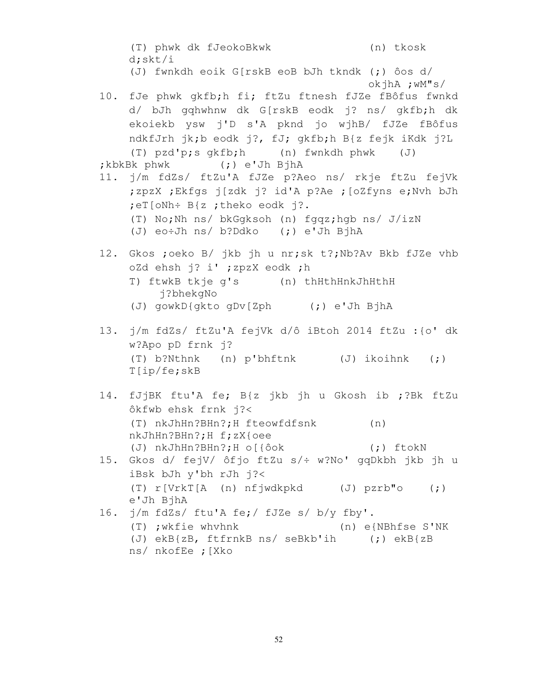(T) phwk dk fJeokoBkwk (n) tkosk d;skt/i (J) fwnkdh eoik G[rskB eoB bJh tkndk (;) ôos d/ okjhA ;wM"s/ 10. fJe phwk gkfb;h fi; ftZu ftnesh fJZe fBôfus fwnkd d/ bJh gqhwhnw dk G[rskB eodk j? ns/ gkfb;h dk ekoiekb ysw j'D s'A pknd jo wjhB/ fJZe fBôfus ndkfJrh jk;b eodk j?, fJ; gkfb;h B{z fejk iKdk j?L (T) pzd'p;s gkfb;h (n) fwnkdh phwk (J) ;kbkBk phwk (;) e'Jh BjhA 11. j/m fdZs/ ftZu'A fJZe p?Aeo ns/ rkje ftZu fejVk ;zpzX ;Ekfgs j[zdk j? id'A p?Ae ;[oZfyns e;Nvh bJh ;eT[oNh÷ B{z ;theko eodk j?. (T) No;Nh ns/ bkGgksoh (n) fgqz;hgb ns/ J/izN (J) eo÷Jh ns/ b?Ddko (;) e'Jh BjhA 12. Gkos ;oeko B/ jkb jh u nr;sk t?;Nb?Av Bkb fJZe vhb oZd ehsh j? i' ;zpzX eodk ;h T) ftwkB tkje g's (n) thHthHnkJhHthH j?bhekgNo (J) gowkD{gkto gDv[Zph (;) e'Jh BjhA 13. j/m fdZs/ ftZu'A fejVk d/ô iBtoh 2014 ftZu :{o' dk w?Apo pD frnk j? (T) b?Nthnk (n) p'bhftnk (J) ikoihnk (;) T[ip/fe;skB 14. fJjBK ftu'A fe; B{z jkb jh u Gkosh ib ;?Bk ftZu ôkfwb ehsk frnk j?< (T) nkJhHn?BHn?;H fteowfdfsnk (n) nkJhHn?BHn?;H f;zX{oee (J) nkJhHn?BHn?;H o[{ôok (;) ftokN 15. Gkos d/ fejV/ ôfjo ftZu s/÷ w?No' gqDkbh jkb jh u iBsk bJh y'bh rJh j?< (T) r[VrkT[A (n) nfjwdkpkd (J) pzrb"o (;) e'Jh BjhA 16. j/m fdZs/ ftu'A fe;/ fJZe s/ b/y fby'. (T) ;wkfie whvhnk (n) e{NBhfse S'NK (J) ekB{zB, ftfrnkB ns/ seBkb'ih (;) ekB{zB ns/ nkofEe ;[Xko